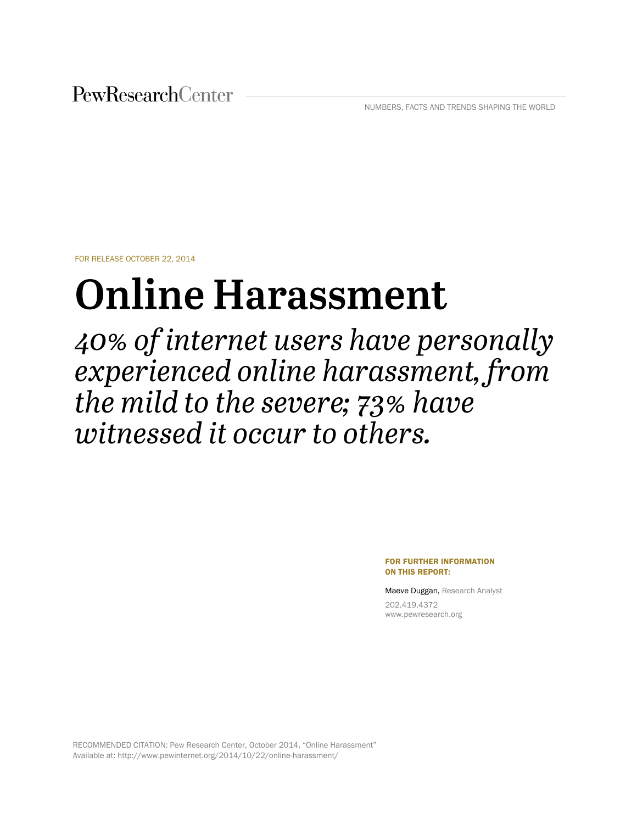PewResearchCenter

NUMBERS, FACTS AND TRENDS SHAPING THE WORLD

FOR RELEASE OCTOBER 22, 2014

# **Online Harassment**

40% of internet users have personally experienced online harassment, from the mild to the severe; 73% have witnessed it occur to others.

> FOR FURTHER INFORMATION ON THIS REPORT:

Maeve Duggan, Research Analyst

202.419.4372 www.pewresearch.org

RECOMMENDED CITATION: Pew Research Center, October 2014, "Online Harassment" Available at: http://www.pewinternet.org/2014/10/22/online-harassment/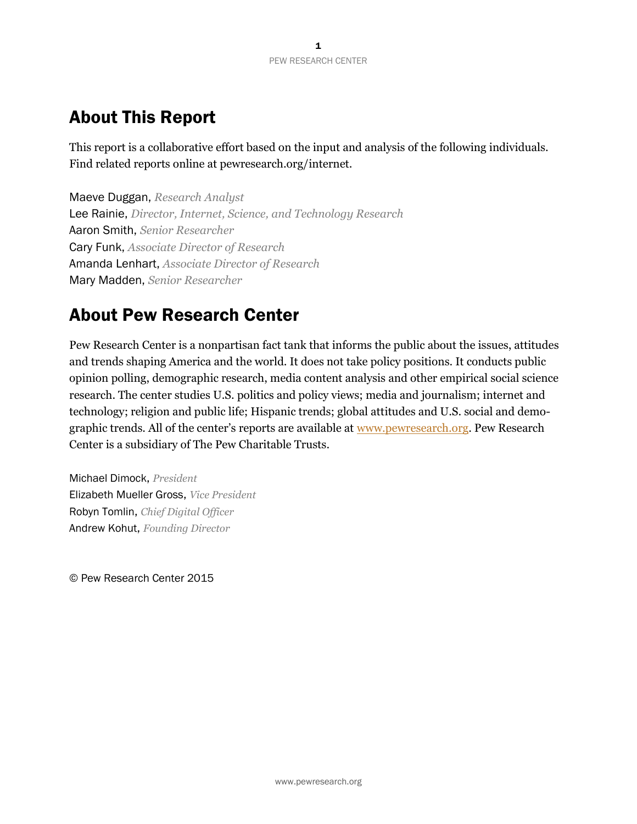# About This Report

This report is a collaborative effort based on the input and analysis of the following individuals. Find related reports online at pewresearch.org/internet.

Maeve Duggan, *Research Analyst* Lee Rainie, *Director, Internet, Science, and Technology Research* Aaron Smith, *Senior Researcher* Cary Funk, *Associate Director of Research* Amanda Lenhart, *Associate Director of Research* Mary Madden, *Senior Researcher*

# About Pew Research Center

Pew Research Center is a nonpartisan fact tank that informs the public about the issues, attitudes and trends shaping America and the world. It does not take policy positions. It conducts public opinion polling, demographic research, media content analysis and other empirical social science research. The center studies U.S. politics and policy views; media and journalism; internet and technology; religion and public life; Hispanic trends; global attitudes and U.S. social and demographic trends. All of the center's reports are available at [www.pewresearch.org.](http://www.pewresearch.org/) Pew Research Center is a subsidiary of The Pew Charitable Trusts.

Michael Dimock, *President* Elizabeth Mueller Gross, *Vice President* Robyn Tomlin, *Chief Digital Officer* Andrew Kohut, *Founding Director*

© Pew Research Center 2015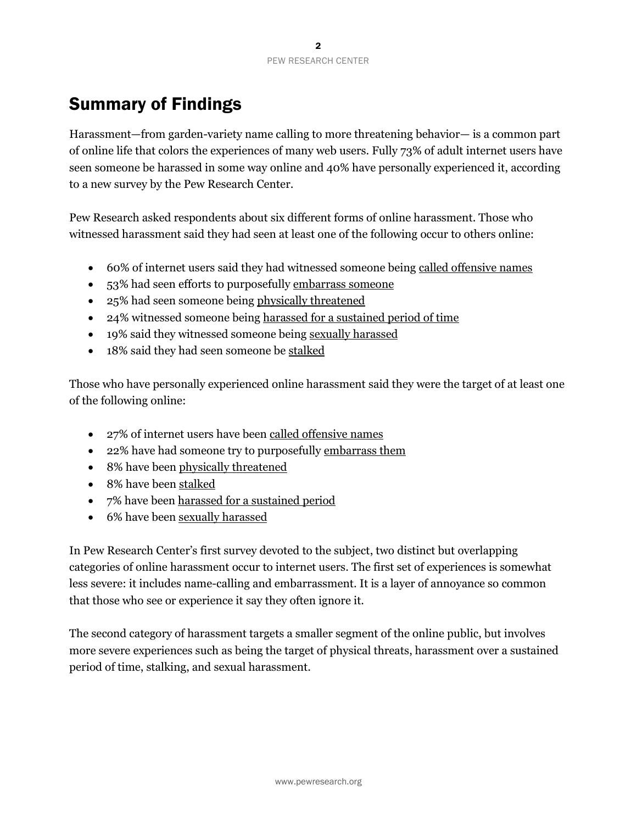# Summary of Findings

Harassment—from garden-variety name calling to more threatening behavior— is a common part of online life that colors the experiences of many web users. Fully 73% of adult internet users have seen someone be harassed in some way online and 40% have personally experienced it, according to a new survey by the Pew Research Center.

Pew Research asked respondents about six different forms of online harassment. Those who witnessed harassment said they had seen at least one of the following occur to others online:

- 60% of internet users said they had witnessed someone being called offensive names
- 53% had seen efforts to purposefully embarrass someone
- 25% had seen someone being physically threatened
- 24% witnessed someone being harassed for a sustained period of time
- 19% said they witnessed someone being sexually harassed
- 18% said they had seen someone be stalked

Those who have personally experienced online harassment said they were the target of at least one of the following online:

- 27% of internet users have been called offensive names
- 22% have had someone try to purposefully embarrass them
- 8% have been physically threatened
- 8% have been stalked
- 7% have been harassed for a sustained period
- 6% have been sexually harassed

In Pew Research Center's first survey devoted to the subject, two distinct but overlapping categories of online harassment occur to internet users. The first set of experiences is somewhat less severe: it includes name-calling and embarrassment. It is a layer of annoyance so common that those who see or experience it say they often ignore it.

The second category of harassment targets a smaller segment of the online public, but involves more severe experiences such as being the target of physical threats, harassment over a sustained period of time, stalking, and sexual harassment.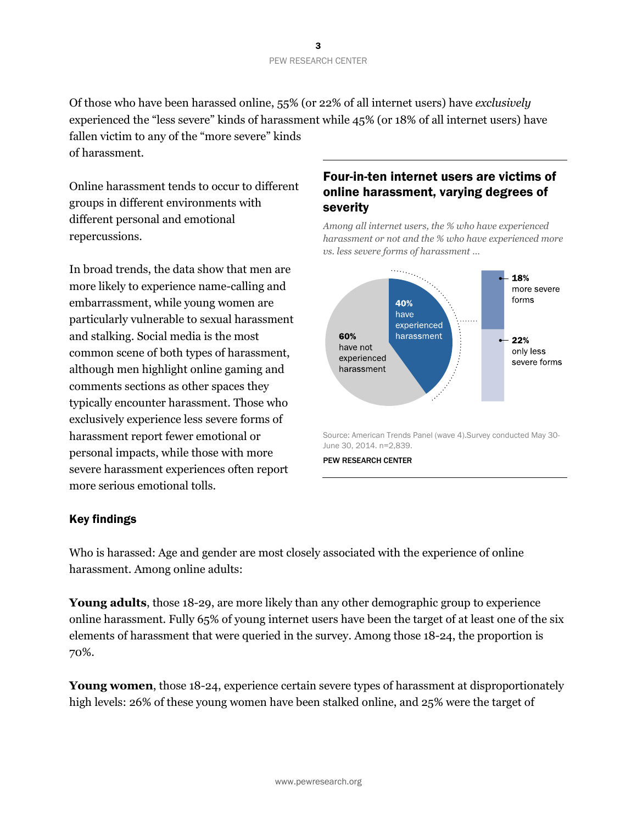Of those who have been harassed online, 55% (or 22% of all internet users) have *exclusively* experienced the "less severe" kinds of harassment while 45% (or 18% of all internet users) have fallen victim to any of the "more severe" kinds of harassment.

Online harassment tends to occur to different groups in different environments with different personal and emotional repercussions.

In broad trends, the data show that men are more likely to experience name-calling and embarrassment, while young women are particularly vulnerable to sexual harassment and stalking. Social media is the most common scene of both types of harassment, although men highlight online gaming and comments sections as other spaces they typically encounter harassment. Those who exclusively experience less severe forms of harassment report fewer emotional or personal impacts, while those with more severe harassment experiences often report more serious emotional tolls.

# Four-in-ten internet users are victims of online harassment, varying degrees of severity

*Among all internet users, the % who have experienced harassment or not and the % who have experienced more vs. less severe forms of harassment …*



June 30, 2014. n=2,839.

PEW RESEARCH CENTER

## Key findings

Who is harassed: Age and gender are most closely associated with the experience of online harassment. Among online adults:

**Young adults**, those 18-29, are more likely than any other demographic group to experience online harassment. Fully 65% of young internet users have been the target of at least one of the six elements of harassment that were queried in the survey. Among those 18-24, the proportion is 70%.

**Young women**, those 18-24, experience certain severe types of harassment at disproportionately high levels: 26% of these young women have been stalked online, and 25% were the target of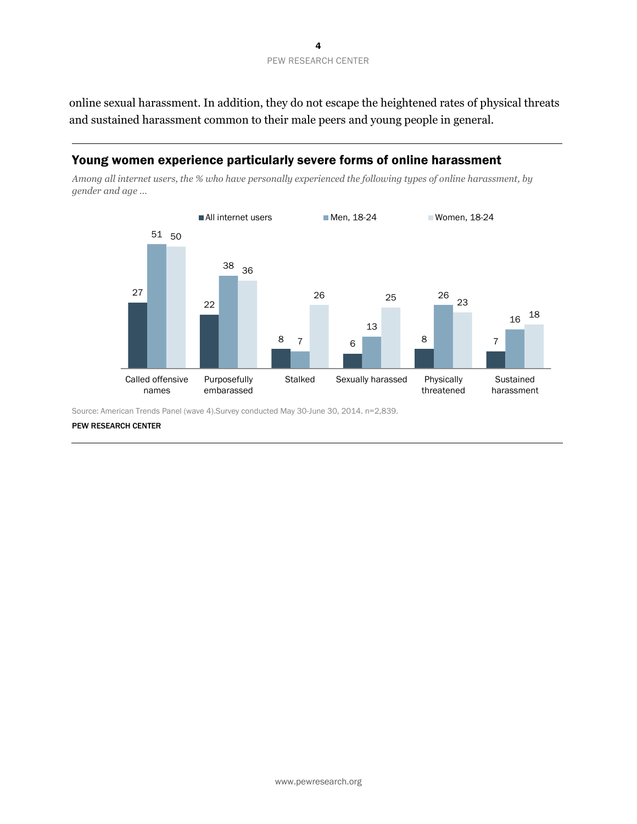online sexual harassment. In addition, they do not escape the heightened rates of physical threats and sustained harassment common to their male peers and young people in general.

#### Young women experience particularly severe forms of online harassment

*Among all internet users, the % who have personally experienced the following types of online harassment, by gender and age …*



Source: American Trends Panel (wave 4).Survey conducted May 30-June 30, 2014. n=2,839.

PEW RESEARCH CENTER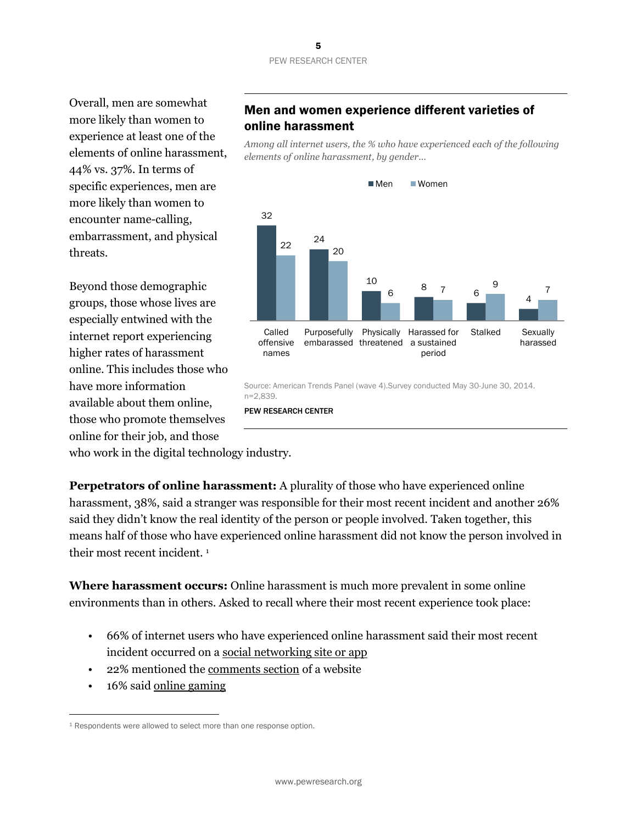#### 5 PEW RESEARCH CENTER

Overall, men are somewhat more likely than women to experience at least one of the elements of online harassment, 44% vs. 37%. In terms of specific experiences, men are more likely than women to encounter name-calling, embarrassment, and physical threats.

Beyond those demographic groups, those whose lives are especially entwined with the internet report experiencing higher rates of harassment online. This includes those who have more information available about them online, those who promote themselves online for their job, and those

## Men and women experience different varieties of online harassment

*Among all internet users, the % who have experienced each of the following elements of online harassment, by gender…*



Source: American Trends Panel (wave 4).Survey conducted May 30-June 30, 2014. n=2,839.

PEW RESEARCH CENTER

who work in the digital technology industry.

**Perpetrators of online harassment:** A plurality of those who have experienced online harassment, 38%, said a stranger was responsible for their most recent incident and another 26% said they didn't know the real identity of the person or people involved. Taken together, this means half of those who have experienced online harassment did not know the person involved in their most recent incident. <sup>1</sup>

**Where harassment occurs:** Online harassment is much more prevalent in some online environments than in others. Asked to recall where their most recent experience took place:

- 66% of internet users who have experienced online harassment said their most recent incident occurred on a social networking site or app
- 22% mentioned the comments section of a website
- 16% said online gaming

l

<sup>&</sup>lt;sup>1</sup> Respondents were allowed to select more than one response option.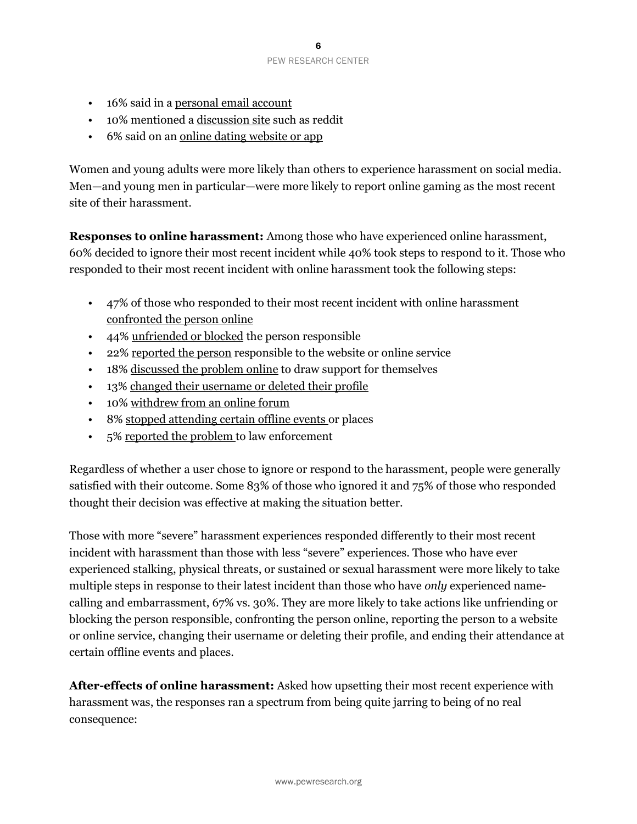#### PEW RESEARCH CENTER

- 16% said in a personal email account
- 10% mentioned a discussion site such as reddit
- 6% said on an online dating website or app

Women and young adults were more likely than others to experience harassment on social media. Men—and young men in particular—were more likely to report online gaming as the most recent site of their harassment.

**Responses to online harassment:** Among those who have experienced online harassment, 60% decided to ignore their most recent incident while 40% took steps to respond to it. Those who responded to their most recent incident with online harassment took the following steps:

- 47% of those who responded to their most recent incident with online harassment confronted the person online
- 44% unfriended or blocked the person responsible
- 22% reported the person responsible to the website or online service
- 18% discussed the problem online to draw support for themselves
- 13% changed their username or deleted their profile
- 10% withdrew from an online forum
- 8% stopped attending certain offline events or places
- 5% reported the problem to law enforcement

Regardless of whether a user chose to ignore or respond to the harassment, people were generally satisfied with their outcome. Some 83% of those who ignored it and 75% of those who responded thought their decision was effective at making the situation better.

Those with more "severe" harassment experiences responded differently to their most recent incident with harassment than those with less "severe" experiences. Those who have ever experienced stalking, physical threats, or sustained or sexual harassment were more likely to take multiple steps in response to their latest incident than those who have *only* experienced namecalling and embarrassment, 67% vs. 30%. They are more likely to take actions like unfriending or blocking the person responsible, confronting the person online, reporting the person to a website or online service, changing their username or deleting their profile, and ending their attendance at certain offline events and places.

**After-effects of online harassment:** Asked how upsetting their most recent experience with harassment was, the responses ran a spectrum from being quite jarring to being of no real consequence: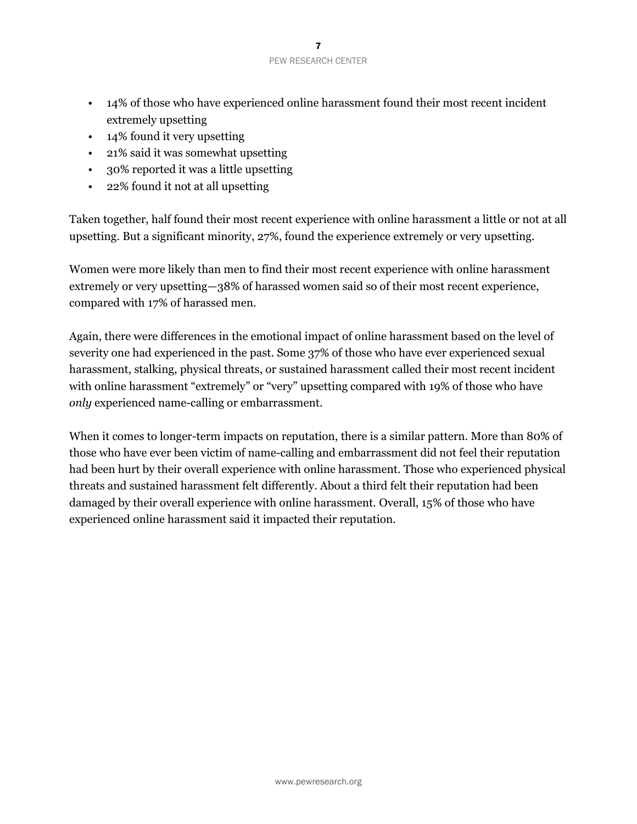- 14% of those who have experienced online harassment found their most recent incident extremely upsetting
- 14% found it very upsetting
- 21% said it was somewhat upsetting
- 30% reported it was a little upsetting
- 22% found it not at all upsetting

Taken together, half found their most recent experience with online harassment a little or not at all upsetting. But a significant minority, 27%, found the experience extremely or very upsetting.

Women were more likely than men to find their most recent experience with online harassment extremely or very upsetting—38% of harassed women said so of their most recent experience, compared with 17% of harassed men.

Again, there were differences in the emotional impact of online harassment based on the level of severity one had experienced in the past. Some 37% of those who have ever experienced sexual harassment, stalking, physical threats, or sustained harassment called their most recent incident with online harassment "extremely" or "very" upsetting compared with 19% of those who have *only* experienced name-calling or embarrassment.

When it comes to longer-term impacts on reputation, there is a similar pattern. More than 80% of those who have ever been victim of name-calling and embarrassment did not feel their reputation had been hurt by their overall experience with online harassment. Those who experienced physical threats and sustained harassment felt differently. About a third felt their reputation had been damaged by their overall experience with online harassment. Overall, 15% of those who have experienced online harassment said it impacted their reputation.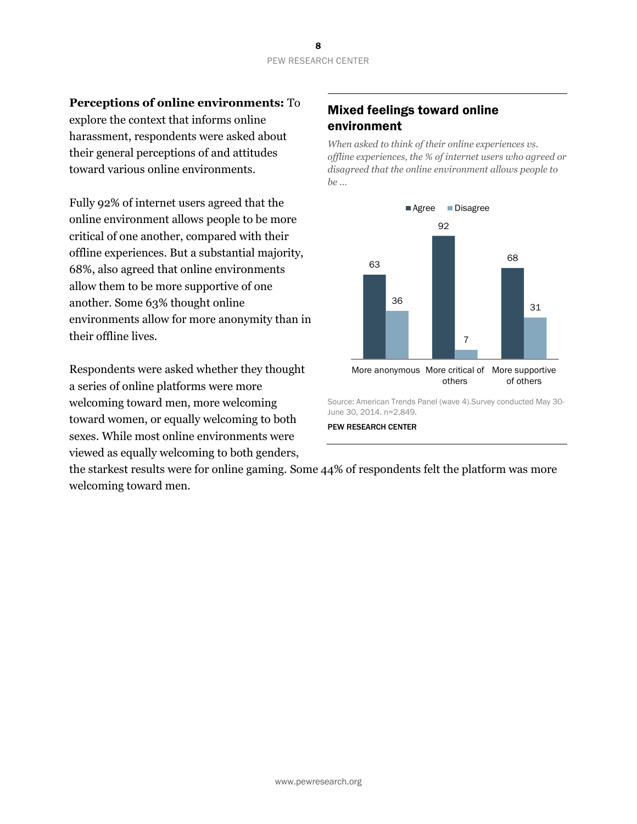**Perceptions of online environments:** To

explore the context that informs online harassment, respondents were asked about their general perceptions of and attitudes toward various online environments.

Fully 92% of internet users agreed that the online environment allows people to be more critical of one another, compared with their offline experiences. But a substantial majority, 68%, also agreed that online environments allow them to be more supportive of one another. Some 63% thought online environments allow for more anonymity than in their offline lives.

Respondents were asked whether they thought a series of online platforms were more welcoming toward men, more welcoming toward women, or equally welcoming to both sexes. While most online environments were viewed as equally welcoming to both genders,

# Mixed feelings toward online environment

*When asked to think of their online experiences vs. offline experiences, the % of internet users who agreed or disagreed that the online environment allows people to be …*



Source: American Trends Panel (wave 4).Survey conducted May 30- June 30, 2014. n=2,849.

#### PEW RESEARCH CENTER

the starkest results were for online gaming. Some 44% of respondents felt the platform was more welcoming toward men.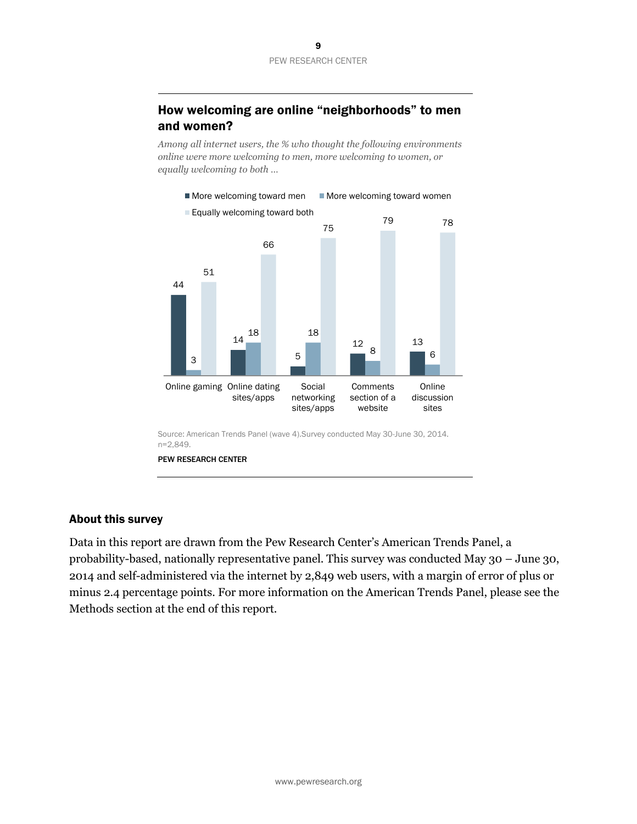# How welcoming are online "neighborhoods" to men and women?

*Among all internet users, the % who thought the following environments online were more welcoming to men, more welcoming to women, or equally welcoming to both …*



PEW RESEARCH CENTER

#### About this survey

Data in this report are drawn from the Pew Research Center's American Trends Panel, a probability-based, nationally representative panel. This survey was conducted May 30 – June 30, 2014 and self-administered via the internet by 2,849 web users, with a margin of error of plus or minus 2.4 percentage points. For more information on the American Trends Panel, please see the Methods section at the end of this report.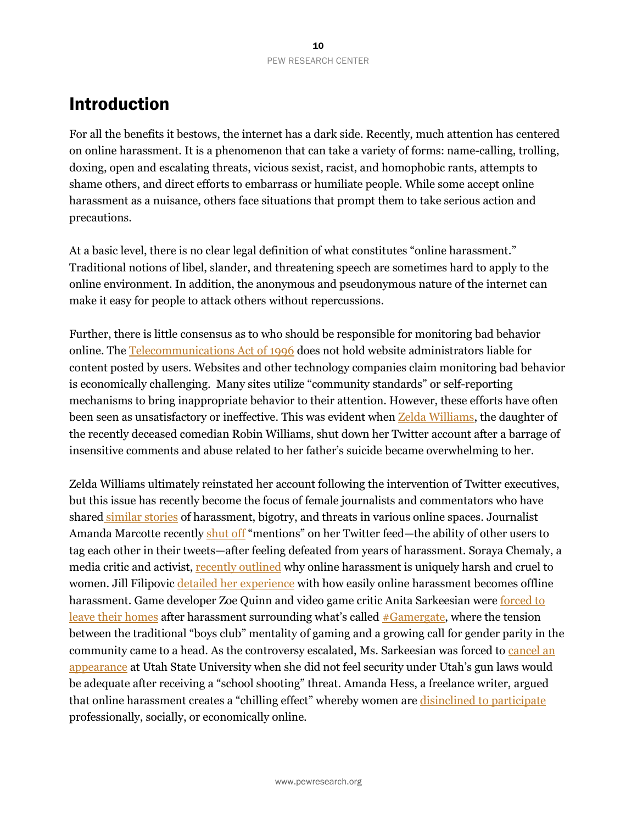# Introduction

For all the benefits it bestows, the internet has a dark side. Recently, much attention has centered on online harassment. It is a phenomenon that can take a variety of forms: name-calling, trolling, doxing, open and escalating threats, vicious sexist, racist, and homophobic rants, attempts to shame others, and direct efforts to embarrass or humiliate people. While some accept online harassment as a nuisance, others face situations that prompt them to take serious action and precautions.

At a basic level, there is no clear legal definition of what constitutes "online harassment." Traditional notions of libel, slander, and threatening speech are sometimes hard to apply to the online environment. In addition, the anonymous and pseudonymous nature of the internet can make it easy for people to attack others without repercussions.

Further, there is little consensus as to who should be responsible for monitoring bad behavior online. The [Telecommunications Act of 1996](http://www.law.cornell.edu/uscode/text/47/230) does not hold website administrators liable for content posted by users. Websites and other technology companies claim monitoring bad behavior is economically challenging. Many sites utilize "community standards" or self-reporting mechanisms to bring inappropriate behavior to their attention. However, these efforts have often been seen as unsatisfactory or ineffective. This was evident when [Zelda Williams,](http://www.washingtonpost.com/blogs/the-switch/wp/2014/08/13/twitter-vows-to-improve-our-policies-after-robin-williams-daughter-is-bullied-off-the-network/?wpisrc=nl-swbd&wpmm=1) the daughter of the recently deceased comedian Robin Williams, shut down her Twitter account after a barrage of insensitive comments and abuse related to her father's suicide became overwhelming to her.

Zelda Williams ultimately reinstated her account following the intervention of Twitter executives, but this issue has recently become the focus of female journalists and commentators who have shared [similar stories](http://www.washingtonpost.com/business/technology/in-getting-twitter-abuse-zelda-williams-is-hardly-alone/2014/08/14/b0449b1c-23e0-11e4-8593-da634b334390_story.html) of harassment, bigotry, and threats in various online spaces. Journalist Amanda Marcotte recently [shut off](http://www.slate.com/blogs/xx_factor/2014/09/08/twitter_mentions_i_m_not_longer_looking_at_them.html) "mentions" on her Twitter feed—the ability of other users to tag each other in their tweets—after feeling defeated from years of harassment. Soraya Chemaly, a media critic and activist, [recently](http://time.com/3305466/male-female-harassment-online/) outlined why online harassment is uniquely harsh and cruel to women. Jill Filipovic detailed [her experience](http://talkingpointsmemo.com/cafe/let-s-be-real-online-harassment-isn-t-virtual-for-women) with how easily online harassment becomes offline harassment. Game developer Zoe Quinn and video game critic Anita Sarkeesian were forced to [leave their homes](http://www.npr.org/blogs/alltechconsidered/2014/09/24/349835297/-gamergate-controversy-fuels-debate-on-women-and-video-games?utm_source=facebook.com&utm_medium=social&utm_campaign=npr&utm_term=nprnews&utm_content=20140924) after harassment surrounding what's called [#Gamergate,](http://www.forbes.com/sites/erikkain/2014/09/04/gamergate-a-closer-look-at-the-controversy-sweeping-video-games/) where the tension between the traditional "boys club" mentality of gaming and a growing call for gender parity in the community came to a head. As the controversy escalated, Ms. Sarkeesian was forced to cancel an [appearance](http://www.washingtonpost.com/news/morning-mix/wp/2014/10/15/gamergate-feminist-video-game-critic-anita-sarkeesian-cancels-utah-lecture-after-threat-citing-police-inability-to-prevent-concealed-weapons-at-event/) at Utah State University when she did not feel security under Utah's gun laws would be adequate after receiving a "school shooting" threat. Amanda Hess, a freelance writer, argued that online harassment creates a "chilling effect" whereby women are [disinclined to participate](http://www.psmag.com/navigation/health-and-behavior/women-arent-welcome-internet-72170/) professionally, socially, or economically online.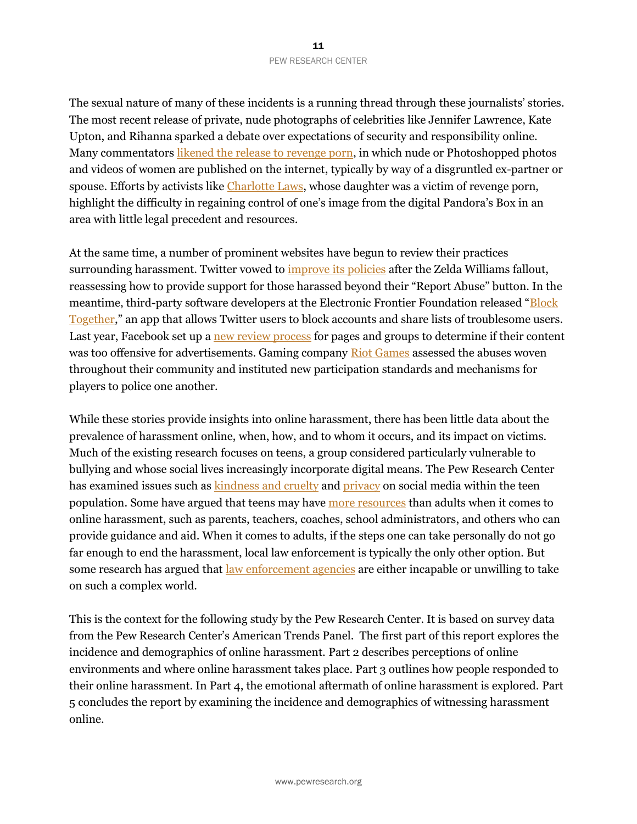The sexual nature of many of these incidents is a running thread through these journalists' stories. The most recent release of private, nude photographs of celebrities like Jennifer Lawrence, Kate Upton, and Rihanna sparked a debate over expectations of security and responsibility online. Many commentators [likened the release to revenge porn,](http://www.cnn.com/2014/09/01/opinion/drexler-nude-photos-jennifer-lawrence/) in which nude or Photoshopped photos and videos of women are published on the internet, typically by way of a disgruntled ex-partner or spouse. Efforts by activists like [Charlotte Laws,](http://www.buzzfeed.com/ryanhatesthis/meet-the-women-you-call-when-your-most-intimate-photos-wind?utm_medium=email&utm_campaign=Longform+97&utm_content=Longform+97+CID_176c835d63bcd91a29598059f1ba6cf5&utm_source=Campaign%20Monitor&utm_term=Meet%20The%20Women%20You%20Call%20When%20Your%20Nude%20Photos%20Wind%20Up%20Online#besz8n) whose daughter was a victim of revenge porn, highlight the difficulty in regaining control of one's image from the digital Pandora's Box in an area with little legal precedent and resources.

At the same time, a number of prominent websites have begun to review their practices surrounding harassment. Twitter vowed to *improve its policies* after the Zelda Williams fallout, reassessing how to provide support for those harassed beyond their "Report Abuse" button. In the meantime, third-party software developers at the Electronic Frontier Foundation released "Block [Together](http://www.slate.com/blogs/future_tense/2014/08/06/twitter_harassment_user_created_apps_block_together_flaminga_and_the_block.html)," an app that allows Twitter users to block accounts and share lists of troublesome users. Last year, Facebook set up a [new review process](http://www.washingtonpost.com/business/technology/facebook-sets-up-review-policy-for-pages-groups/2013/06/28/5dfad5a0-e021-11e2-963a-72d740e88c12_story.html) for pages and groups to determine if their content was too offensive for advertisements. Gaming company Riot [Games](http://www.slate.com/blogs/xx_factor/2014/05/16/online_harassment_in_video_games_how_riot_games_remedied_its_league_of_legends.html) assessed the abuses woven throughout their community and instituted new participation standards and mechanisms for players to police one another.

While these stories provide insights into online harassment, there has been little data about the prevalence of harassment online, when, how, and to whom it occurs, and its impact on victims. Much of the existing research focuses on teens, a group considered particularly vulnerable to bullying and whose social lives increasingly incorporate digital means. The Pew Research Center has examined issues such as [kindness and cruelty](http://www.pewinternet.org/2011/11/09/teens-kindness-and-cruelty-on-social-network-sites/) and [privacy](http://www.pewinternet.org/2013/05/21/teens-social-media-and-privacy/) on social media within the teen population. Some have argued that teens may have [more resources](http://www.athinline.org/pdfs/2013-MTV-AP-NORC%20Center_Digital_Abuse_Study_Release.pdf) than adults when it comes to online harassment, such as parents, teachers, coaches, school administrators, and others who can provide guidance and aid. When it comes to adults, if the steps one can take personally do not go far enough to end the harassment, local law enforcement is typically the only other option. But some research has argued that <u>[law enforcement](http://www.theatlantic.com/technology/archive/2014/06/study-there-are-few-legal-protections-for-people-harassed-online/372995/) agencies</u> are either incapable or unwilling to take on such a complex world.

This is the context for the following study by the Pew Research Center. It is based on survey data from the Pew Research Center's American Trends Panel. The first part of this report explores the incidence and demographics of online harassment. Part 2 describes perceptions of online environments and where online harassment takes place. Part 3 outlines how people responded to their online harassment. In Part 4, the emotional aftermath of online harassment is explored. Part 5 concludes the report by examining the incidence and demographics of witnessing harassment online.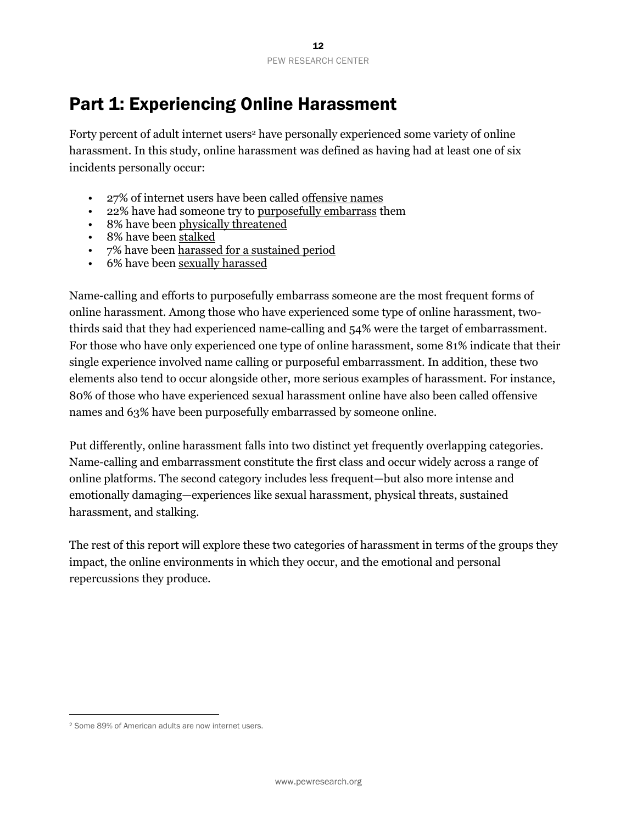# Part 1: Experiencing Online Harassment

Forty percent of adult internet users<sup>2</sup> have personally experienced some variety of online harassment. In this study, online harassment was defined as having had at least one of six incidents personally occur:

- 27% of internet users have been called offensive names
- 22% have had someone try to purposefully embarrass them
- 8% have been physically threatened
- 8% have been stalked
- 7% have been harassed for a sustained period
- 6% have been sexually harassed

Name-calling and efforts to purposefully embarrass someone are the most frequent forms of online harassment. Among those who have experienced some type of online harassment, twothirds said that they had experienced name-calling and 54% were the target of embarrassment. For those who have only experienced one type of online harassment, some 81% indicate that their single experience involved name calling or purposeful embarrassment. In addition, these two elements also tend to occur alongside other, more serious examples of harassment. For instance, 80% of those who have experienced sexual harassment online have also been called offensive names and 63% have been purposefully embarrassed by someone online.

Put differently, online harassment falls into two distinct yet frequently overlapping categories. Name-calling and embarrassment constitute the first class and occur widely across a range of online platforms. The second category includes less frequent—but also more intense and emotionally damaging—experiences like sexual harassment, physical threats, sustained harassment, and stalking.

The rest of this report will explore these two categories of harassment in terms of the groups they impact, the online environments in which they occur, and the emotional and personal repercussions they produce.

l

<sup>2</sup> Some 89% of American adults are now internet users.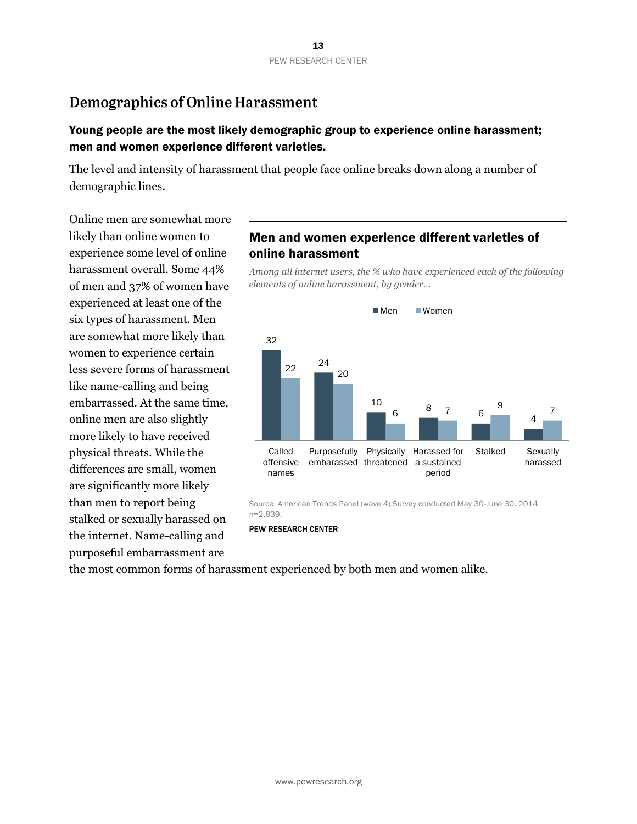# **Demographics of Online Harassment**

## Young people are the most likely demographic group to experience online harassment; men and women experience different varieties.

The level and intensity of harassment that people face online breaks down along a number of demographic lines.

Online men are somewhat more likely than online women to experience some level of online harassment overall. Some 44% of men and 37% of women have experienced at least one of the six types of harassment. Men are somewhat more likely than women to experience certain less severe forms of harassment like name-calling and being embarrassed. At the same time, online men are also slightly more likely to have received physical threats. While the differences are small, women are significantly more likely than men to report being stalked or sexually harassed on the internet. Name-calling and purposeful embarrassment are

# Men and women experience different varieties of online harassment

*Among all internet users, the % who have experienced each of the following elements of online harassment, by gender…*



Source: American Trends Panel (wave 4).Survey conducted May 30-June 30, 2014. n=2,839.

PEW RESEARCH CENTER

the most common forms of harassment experienced by both men and women alike.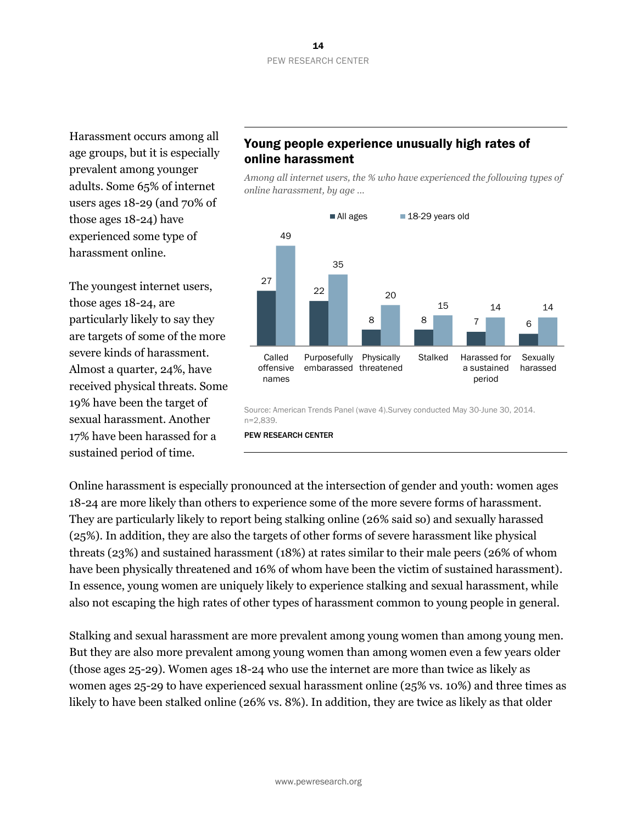Harassment occurs among all age groups, but it is especially prevalent among younger adults. Some 65% of internet users ages 18-29 (and 70% of those ages 18-24) have experienced some type of harassment online.

The youngest internet users, those ages 18-24, are particularly likely to say they are targets of some of the more severe kinds of harassment. Almost a quarter, 24%, have received physical threats. Some 19% have been the target of sexual harassment. Another 17% have been harassed for a sustained period of time.

# Young people experience unusually high rates of online harassment

*Among all internet users, the % who have experienced the following types of online harassment, by age …* 



Source: American Trends Panel (wave 4).Survey conducted May 30-June 30, 2014. n=2,839.

#### PEW RESEARCH CENTER

Online harassment is especially pronounced at the intersection of gender and youth: women ages 18-24 are more likely than others to experience some of the more severe forms of harassment. They are particularly likely to report being stalking online (26% said so) and sexually harassed (25%). In addition, they are also the targets of other forms of severe harassment like physical threats (23%) and sustained harassment (18%) at rates similar to their male peers (26% of whom have been physically threatened and 16% of whom have been the victim of sustained harassment). In essence, young women are uniquely likely to experience stalking and sexual harassment, while also not escaping the high rates of other types of harassment common to young people in general.

Stalking and sexual harassment are more prevalent among young women than among young men. But they are also more prevalent among young women than among women even a few years older (those ages 25-29). Women ages 18-24 who use the internet are more than twice as likely as women ages 25-29 to have experienced sexual harassment online (25% vs. 10%) and three times as likely to have been stalked online (26% vs. 8%). In addition, they are twice as likely as that older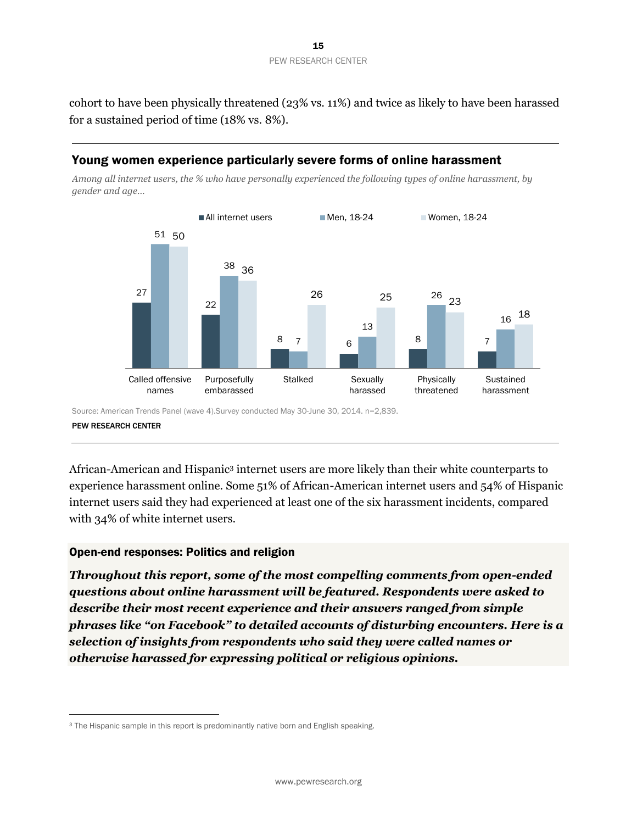

cohort to have been physically threatened (23% vs. 11%) and twice as likely to have been harassed for a sustained period of time (18% vs. 8%).

#### Young women experience particularly severe forms of online harassment

*Among all internet users, the % who have personally experienced the following types of online harassment, by gender and age…*



Source: American Trends Panel (wave 4).Survey conducted May 30-June 30, 2014. n=2,839. PEW RESEARCH CENTER

African-American and Hispanic<sup>3</sup> internet users are more likely than their white counterparts to experience harassment online. Some 51% of African-American internet users and 54% of Hispanic internet users said they had experienced at least one of the six harassment incidents, compared with 34% of white internet users.

#### Open-end responses: Politics and religion

l

*Throughout this report, some of the most compelling comments from open-ended questions about online harassment will be featured. Respondents were asked to describe their most recent experience and their answers ranged from simple phrases like "on Facebook" to detailed accounts of disturbing encounters. Here is a selection of insights from respondents who said they were called names or otherwise harassed for expressing political or religious opinions.*

<sup>&</sup>lt;sup>3</sup> The Hispanic sample in this report is predominantly native born and English speaking.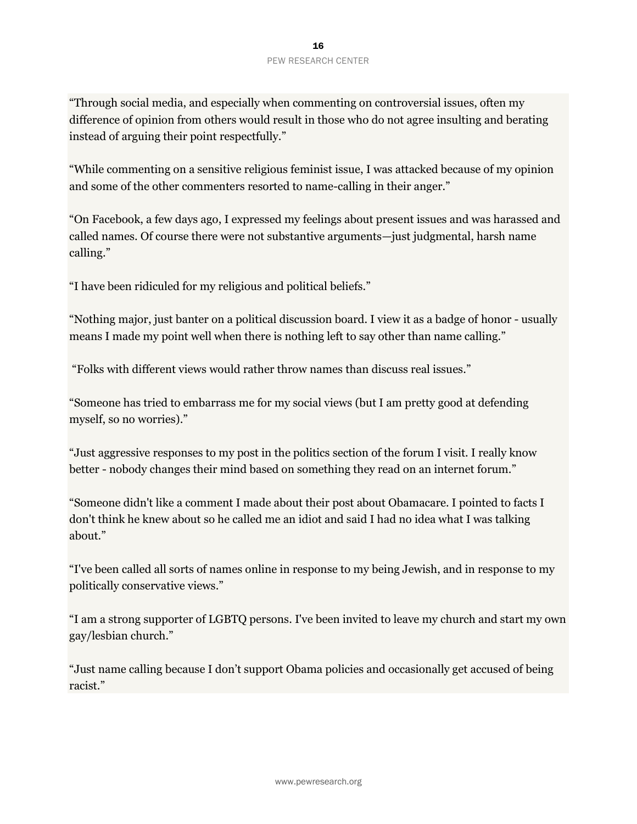"Through social media, and especially when commenting on controversial issues, often my difference of opinion from others would result in those who do not agree insulting and berating instead of arguing their point respectfully."

"While commenting on a sensitive religious feminist issue, I was attacked because of my opinion and some of the other commenters resorted to name-calling in their anger."

"On Facebook, a few days ago, I expressed my feelings about present issues and was harassed and called names. Of course there were not substantive arguments—just judgmental, harsh name calling."

"I have been ridiculed for my religious and political beliefs."

"Nothing major, just banter on a political discussion board. I view it as a badge of honor - usually means I made my point well when there is nothing left to say other than name calling."

"Folks with different views would rather throw names than discuss real issues."

"Someone has tried to embarrass me for my social views (but I am pretty good at defending myself, so no worries)."

"Just aggressive responses to my post in the politics section of the forum I visit. I really know better - nobody changes their mind based on something they read on an internet forum."

"Someone didn't like a comment I made about their post about Obamacare. I pointed to facts I don't think he knew about so he called me an idiot and said I had no idea what I was talking about."

"I've been called all sorts of names online in response to my being Jewish, and in response to my politically conservative views."

"I am a strong supporter of LGBTQ persons. I've been invited to leave my church and start my own gay/lesbian church."

"Just name calling because I don't support Obama policies and occasionally get accused of being racist."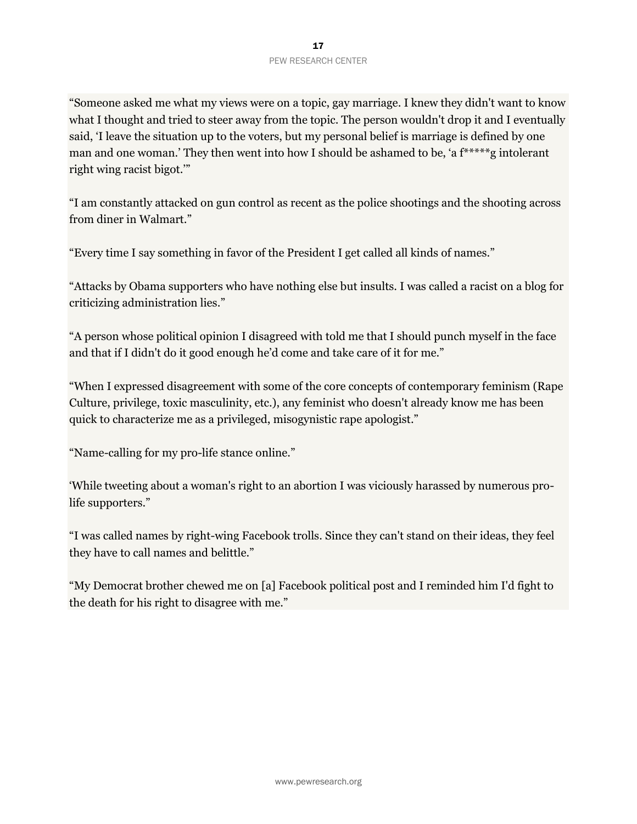"Someone asked me what my views were on a topic, gay marriage. I knew they didn't want to know what I thought and tried to steer away from the topic. The person wouldn't drop it and I eventually said, 'I leave the situation up to the voters, but my personal belief is marriage is defined by one man and one woman.' They then went into how I should be ashamed to be, 'a f\*\*\*\*\*g intolerant right wing racist bigot.'"

"I am constantly attacked on gun control as recent as the police shootings and the shooting across from diner in Walmart."

"Every time I say something in favor of the President I get called all kinds of names."

"Attacks by Obama supporters who have nothing else but insults. I was called a racist on a blog for criticizing administration lies."

"A person whose political opinion I disagreed with told me that I should punch myself in the face and that if I didn't do it good enough he'd come and take care of it for me."

"When I expressed disagreement with some of the core concepts of contemporary feminism (Rape Culture, privilege, toxic masculinity, etc.), any feminist who doesn't already know me has been quick to characterize me as a privileged, misogynistic rape apologist."

"Name-calling for my pro-life stance online."

'While tweeting about a woman's right to an abortion I was viciously harassed by numerous prolife supporters."

"I was called names by right-wing Facebook trolls. Since they can't stand on their ideas, they feel they have to call names and belittle."

"My Democrat brother chewed me on [a] Facebook political post and I reminded him I'd fight to the death for his right to disagree with me."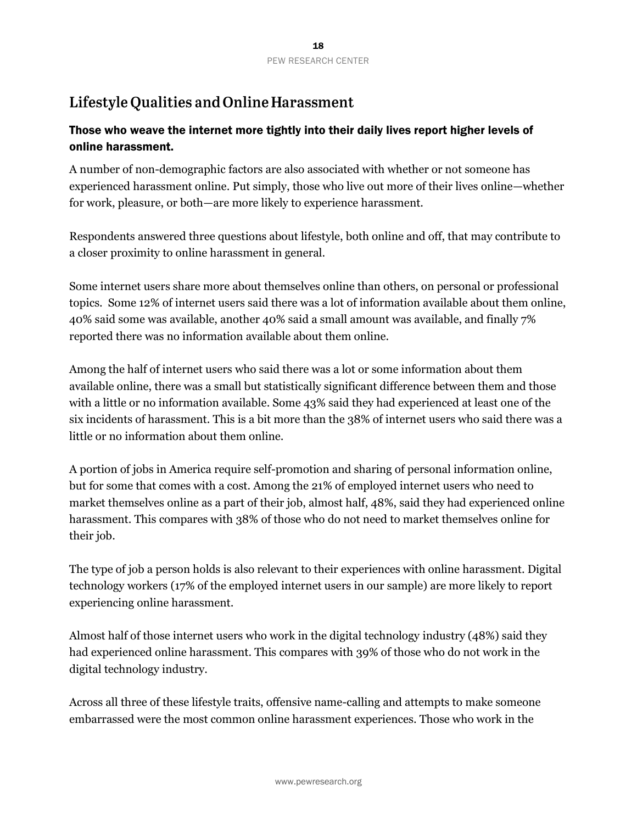# Lifestyle Qualities and Online Harassment

# Those who weave the internet more tightly into their daily lives report higher levels of online harassment.

A number of non-demographic factors are also associated with whether or not someone has experienced harassment online. Put simply, those who live out more of their lives online—whether for work, pleasure, or both—are more likely to experience harassment.

Respondents answered three questions about lifestyle, both online and off, that may contribute to a closer proximity to online harassment in general.

Some internet users share more about themselves online than others, on personal or professional topics. Some 12% of internet users said there was a lot of information available about them online, 40% said some was available, another 40% said a small amount was available, and finally 7% reported there was no information available about them online.

Among the half of internet users who said there was a lot or some information about them available online, there was a small but statistically significant difference between them and those with a little or no information available. Some 43% said they had experienced at least one of the six incidents of harassment. This is a bit more than the 38% of internet users who said there was a little or no information about them online.

A portion of jobs in America require self-promotion and sharing of personal information online, but for some that comes with a cost. Among the 21% of employed internet users who need to market themselves online as a part of their job, almost half, 48%, said they had experienced online harassment. This compares with 38% of those who do not need to market themselves online for their job.

The type of job a person holds is also relevant to their experiences with online harassment. Digital technology workers (17% of the employed internet users in our sample) are more likely to report experiencing online harassment.

Almost half of those internet users who work in the digital technology industry (48%) said they had experienced online harassment. This compares with 39% of those who do not work in the digital technology industry.

Across all three of these lifestyle traits, offensive name-calling and attempts to make someone embarrassed were the most common online harassment experiences. Those who work in the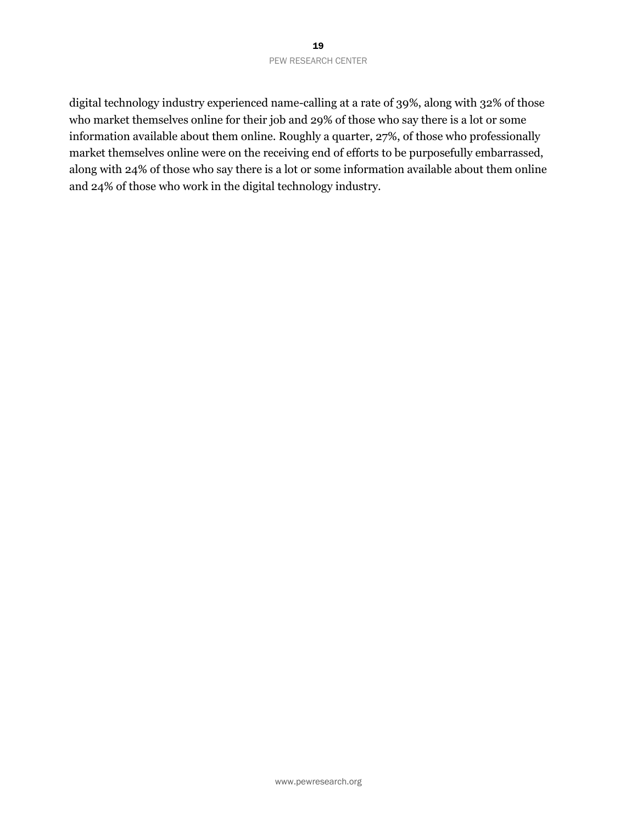digital technology industry experienced name-calling at a rate of 39%, along with 32% of those who market themselves online for their job and 29% of those who say there is a lot or some information available about them online. Roughly a quarter, 27%, of those who professionally market themselves online were on the receiving end of efforts to be purposefully embarrassed, along with 24% of those who say there is a lot or some information available about them online and 24% of those who work in the digital technology industry.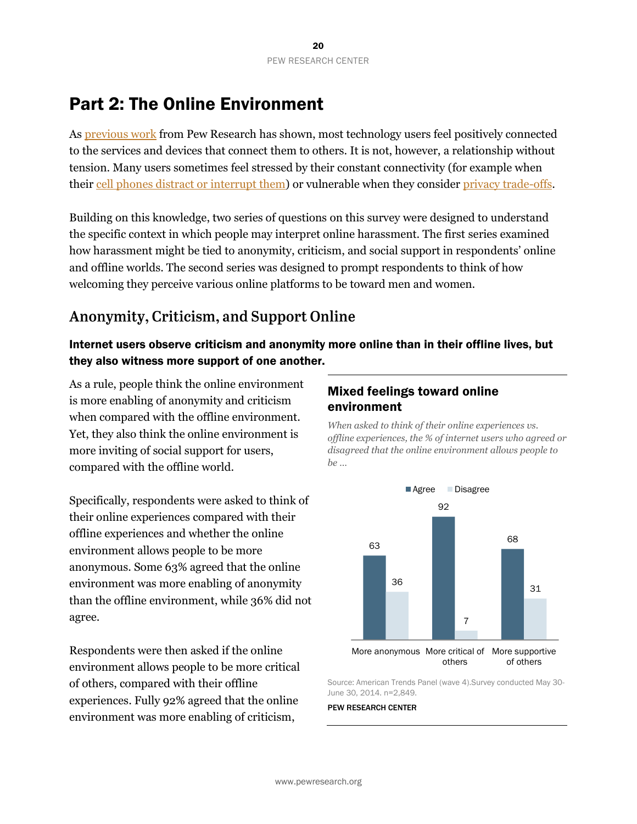# Part 2: The Online Environment

As [previous work](http://www.pewinternet.org/2014/02/27/the-web-at-25-in-the-u-s/) from Pew Research has shown, most technology users feel positively connected to the services and devices that connect them to others. It is not, however, a relationship without tension. Many users sometimes feel stressed by their constant connectivity (for example when their [cell phones](http://www.pewinternet.org/2012/11/30/the-best-and-worst-of-mobile-connectivity/) distract or interrupt them) or vulnerable when they consider [privacy trade-offs.](http://www.pewinternet.org/2013/09/05/anonymity-privacy-and-security-online/)

Building on this knowledge, two series of questions on this survey were designed to understand the specific context in which people may interpret online harassment. The first series examined how harassment might be tied to anonymity, criticism, and social support in respondents' online and offline worlds. The second series was designed to prompt respondents to think of how welcoming they perceive various online platforms to be toward men and women.

# Anonymity, Criticism, and Support Online

# Internet users observe criticism and anonymity more online than in their offline lives, but they also witness more support of one another.

As a rule, people think the online environment is more enabling of anonymity and criticism when compared with the offline environment. Yet, they also think the online environment is more inviting of social support for users, compared with the offline world.

Specifically, respondents were asked to think of their online experiences compared with their offline experiences and whether the online environment allows people to be more anonymous. Some 63% agreed that the online environment was more enabling of anonymity than the offline environment, while 36% did not agree.

Respondents were then asked if the online environment allows people to be more critical of others, compared with their offline experiences. Fully 92% agreed that the online environment was more enabling of criticism,

# Mixed feelings toward online environment

*When asked to think of their online experiences vs. offline experiences, the % of internet users who agreed or disagreed that the online environment allows people to be …*



Source: American Trends Panel (wave 4).Survey conducted May 30- June 30, 2014. n=2,849.

#### PEW RESEARCH CENTER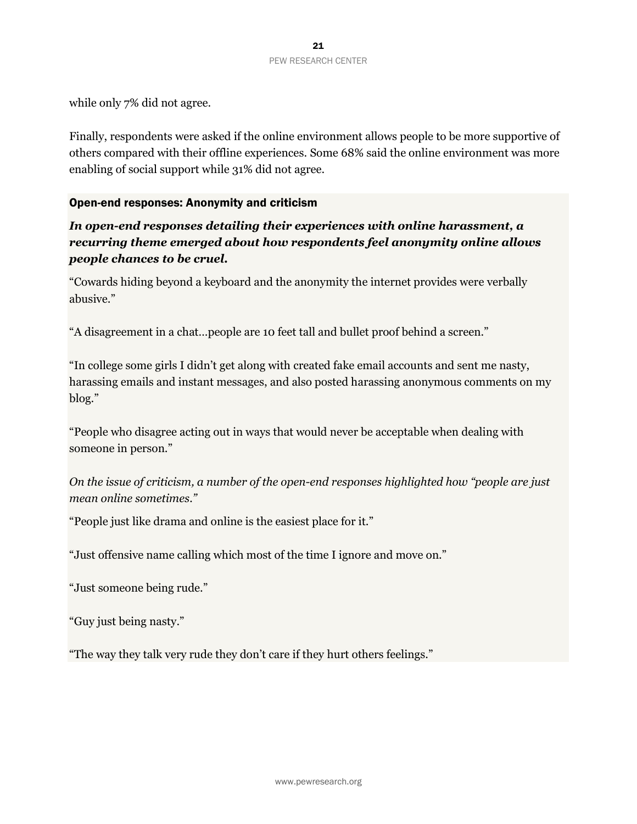while only 7% did not agree.

Finally, respondents were asked if the online environment allows people to be more supportive of others compared with their offline experiences. Some 68% said the online environment was more enabling of social support while 31% did not agree.

#### Open-end responses: Anonymity and criticism

*In open-end responses detailing their experiences with online harassment, a recurring theme emerged about how respondents feel anonymity online allows people chances to be cruel.*

"Cowards hiding beyond a keyboard and the anonymity the internet provides were verbally abusive."

"A disagreement in a chat…people are 10 feet tall and bullet proof behind a screen."

"In college some girls I didn't get along with created fake email accounts and sent me nasty, harassing emails and instant messages, and also posted harassing anonymous comments on my blog."

"People who disagree acting out in ways that would never be acceptable when dealing with someone in person."

*On the issue of criticism, a number of the open-end responses highlighted how "people are just mean online sometimes."*

"People just like drama and online is the easiest place for it."

"Just offensive name calling which most of the time I ignore and move on."

"Just someone being rude."

"Guy just being nasty."

"The way they talk very rude they don't care if they hurt others feelings."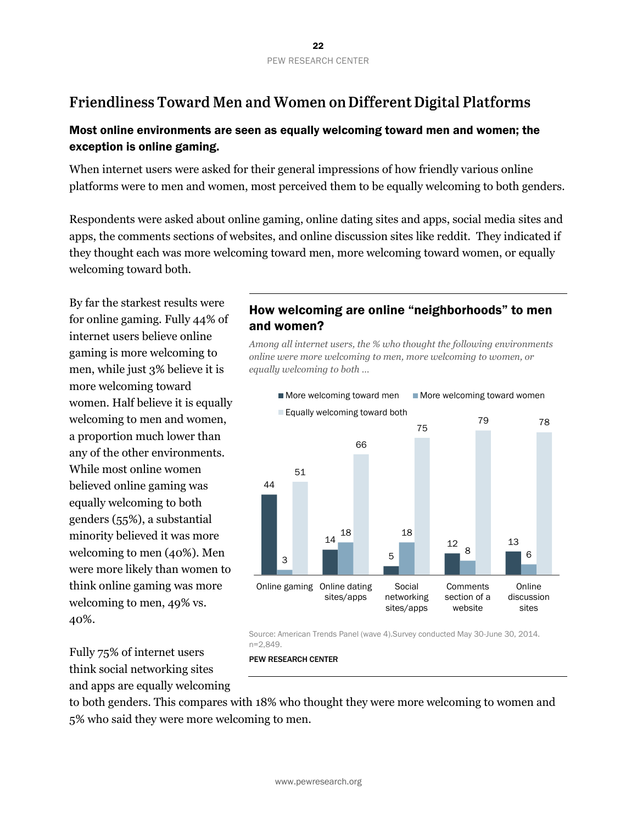# Friendliness Toward Men and Women on Different Digital Platforms

# Most online environments are seen as equally welcoming toward men and women; the exception is online gaming.

When internet users were asked for their general impressions of how friendly various online platforms were to men and women, most perceived them to be equally welcoming to both genders.

Respondents were asked about online gaming, online dating sites and apps, social media sites and apps, the comments sections of websites, and online discussion sites like reddit. They indicated if they thought each was more welcoming toward men, more welcoming toward women, or equally welcoming toward both.

By far the starkest results were for online gaming. Fully 44% of internet users believe online gaming is more welcoming to men, while just 3% believe it is more welcoming toward women. Half believe it is equally welcoming to men and women, a proportion much lower than any of the other environments. While most online women believed online gaming was equally welcoming to both genders (55%), a substantial minority believed it was more welcoming to men (40%). Men were more likely than women to think online gaming was more welcoming to men, 49% vs. 40%.

Fully 75% of internet users think social networking sites and apps are equally welcoming

# How welcoming are online "neighborhoods" to men and women?

*Among all internet users, the % who thought the following environments online were more welcoming to men, more welcoming to women, or equally welcoming to both …*



Source: American Trends Panel (wave 4).Survey conducted May 30-June 30, 2014. n=2,849.

PEW RESEARCH CENTER

to both genders. This compares with 18% who thought they were more welcoming to women and 5% who said they were more welcoming to men.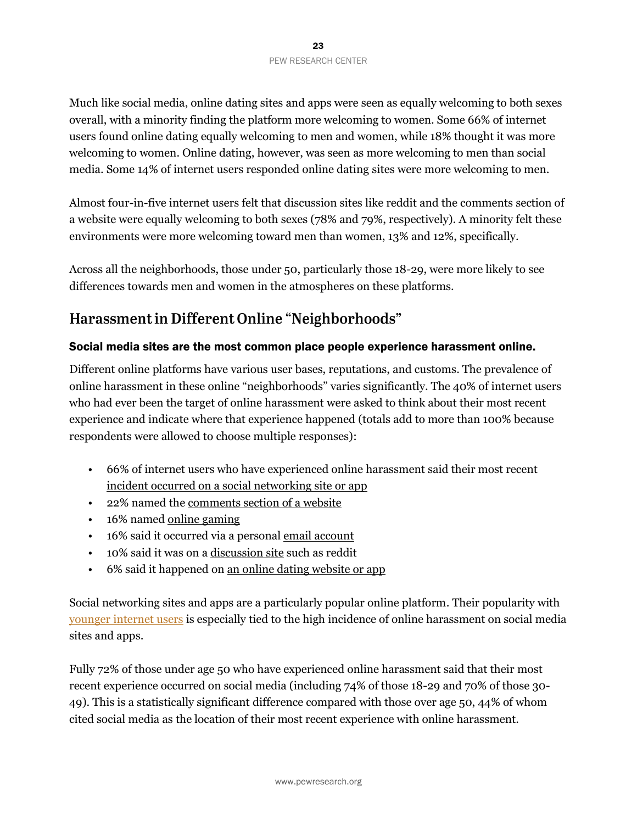Much like social media, online dating sites and apps were seen as equally welcoming to both sexes overall, with a minority finding the platform more welcoming to women. Some 66% of internet users found online dating equally welcoming to men and women, while 18% thought it was more welcoming to women. Online dating, however, was seen as more welcoming to men than social media. Some 14% of internet users responded online dating sites were more welcoming to men.

Almost four-in-five internet users felt that discussion sites like reddit and the comments section of a website were equally welcoming to both sexes (78% and 79%, respectively). A minority felt these environments were more welcoming toward men than women, 13% and 12%, specifically.

Across all the neighborhoods, those under 50, particularly those 18-29, were more likely to see differences towards men and women in the atmospheres on these platforms.

# Harassment in Different Online "Neighborhoods"

## Social media sites are the most common place people experience harassment online.

Different online platforms have various user bases, reputations, and customs. The prevalence of online harassment in these online "neighborhoods" varies significantly. The 40% of internet users who had ever been the target of online harassment were asked to think about their most recent experience and indicate where that experience happened (totals add to more than 100% because respondents were allowed to choose multiple responses):

- 66% of internet users who have experienced online harassment said their most recent incident occurred on a social networking site or app
- 22% named the comments section of a website
- 16% named online gaming
- 16% said it occurred via a personal email account
- 10% said it was on a discussion site such as reddit
- 6% said it happened on <u>an online dating website or app</u>

Social networking sites and apps are a particularly popular online platform. Their popularity with [younger internet users](http://www.pewinternet.org/data-trend/social-media/social-media-user-demographics/) is especially tied to the high incidence of online harassment on social media sites and apps.

Fully 72% of those under age 50 who have experienced online harassment said that their most recent experience occurred on social media (including 74% of those 18-29 and 70% of those 30- 49). This is a statistically significant difference compared with those over age 50, 44% of whom cited social media as the location of their most recent experience with online harassment.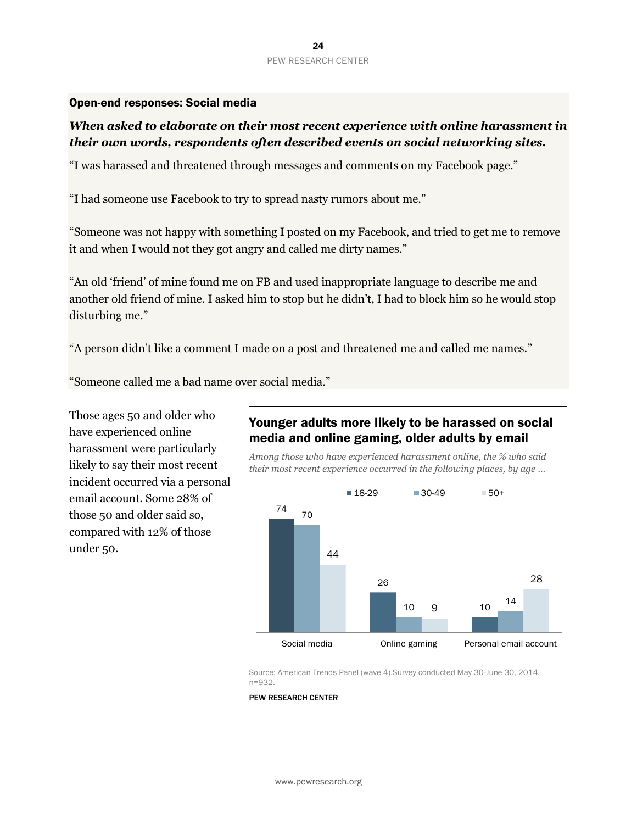#### Open-end responses: Social media

## *When asked to elaborate on their most recent experience with online harassment in their own words, respondents often described events on social networking sites.*

"I was harassed and threatened through messages and comments on my Facebook page."

"I had someone use Facebook to try to spread nasty rumors about me."

"Someone was not happy with something I posted on my Facebook, and tried to get me to remove it and when I would not they got angry and called me dirty names."

"An old 'friend' of mine found me on FB and used inappropriate language to describe me and another old friend of mine. I asked him to stop but he didn't, I had to block him so he would stop disturbing me."

"A person didn't like a comment I made on a post and threatened me and called me names."

"Someone called me a bad name over social media."

Those ages 50 and older who have experienced online harassment were particularly likely to say their most recent incident occurred via a personal email account. Some 28% of those 50 and older said so, compared with 12% of those under 50.

## Younger adults more likely to be harassed on social media and online gaming, older adults by email

*Among those who have experienced harassment online, the % who said their most recent experience occurred in the following places, by age …*



Source: American Trends Panel (wave 4).Survey conducted May 30-June 30, 2014. n=932.

#### PEW RESEARCH CENTER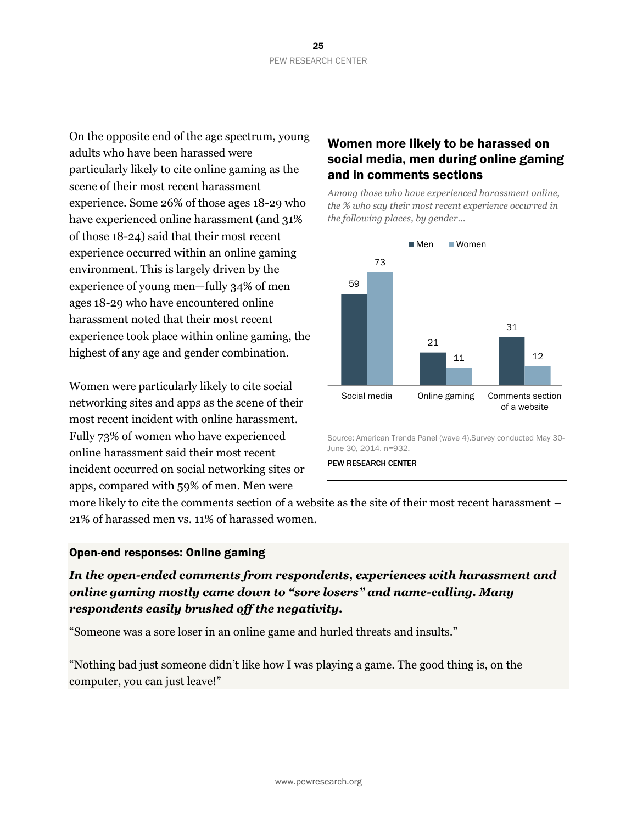On the opposite end of the age spectrum, young adults who have been harassed were particularly likely to cite online gaming as the scene of their most recent harassment experience. Some 26% of those ages 18-29 who have experienced online harassment (and 31% of those 18-24) said that their most recent experience occurred within an online gaming environment. This is largely driven by the experience of young men—fully 34% of men ages 18-29 who have encountered online harassment noted that their most recent experience took place within online gaming, the highest of any age and gender combination.

Women were particularly likely to cite social networking sites and apps as the scene of their most recent incident with online harassment. Fully 73% of women who have experienced online harassment said their most recent incident occurred on social networking sites or apps, compared with 59% of men. Men were

# Women more likely to be harassed on social media, men during online gaming and in comments sections

*Among those who have experienced harassment online, the % who say their most recent experience occurred in the following places, by gender…*



Source: American Trends Panel (wave 4).Survey conducted May 30- June 30, 2014. n=932.

PEW RESEARCH CENTER

more likely to cite the comments section of a website as the site of their most recent harassment – 21% of harassed men vs. 11% of harassed women.

## Open-end responses: Online gaming

# *In the open-ended comments from respondents, experiences with harassment and online gaming mostly came down to "sore losers" and name-calling. Many respondents easily brushed off the negativity.*

"Someone was a sore loser in an online game and hurled threats and insults."

"Nothing bad just someone didn't like how I was playing a game. The good thing is, on the computer, you can just leave!"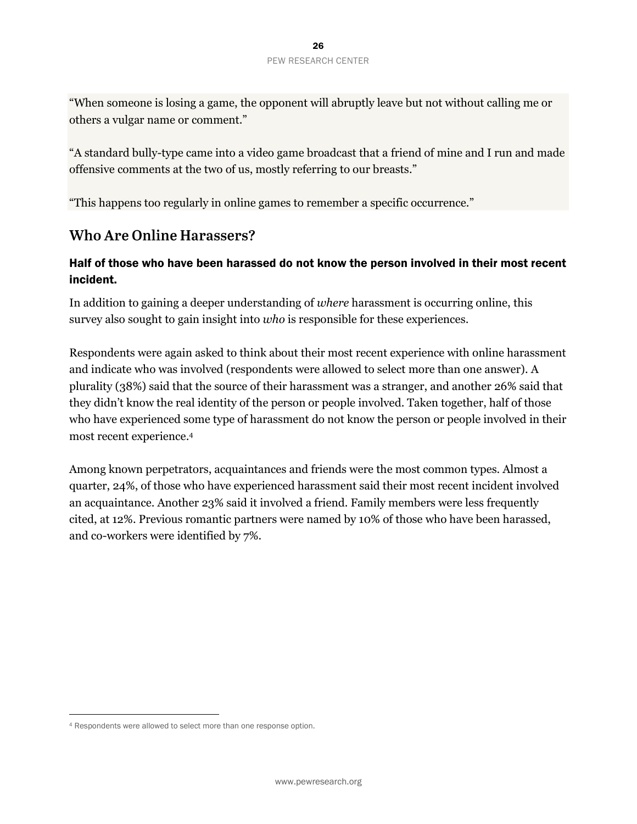"When someone is losing a game, the opponent will abruptly leave but not without calling me or others a vulgar name or comment."

"A standard bully-type came into a video game broadcast that a friend of mine and I run and made offensive comments at the two of us, mostly referring to our breasts."

"This happens too regularly in online games to remember a specific occurrence."

# **Who Are Online Harassers?**

# Half of those who have been harassed do not know the person involved in their most recent incident.

In addition to gaining a deeper understanding of *where* harassment is occurring online, this survey also sought to gain insight into *who* is responsible for these experiences.

Respondents were again asked to think about their most recent experience with online harassment and indicate who was involved (respondents were allowed to select more than one answer). A plurality (38%) said that the source of their harassment was a stranger, and another 26% said that they didn't know the real identity of the person or people involved. Taken together, half of those who have experienced some type of harassment do not know the person or people involved in their most recent experience. 4

Among known perpetrators, acquaintances and friends were the most common types. Almost a quarter, 24%, of those who have experienced harassment said their most recent incident involved an acquaintance. Another 23% said it involved a friend. Family members were less frequently cited, at 12%. Previous romantic partners were named by 10% of those who have been harassed, and co-workers were identified by 7%.

l

<sup>4</sup> Respondents were allowed to select more than one response option.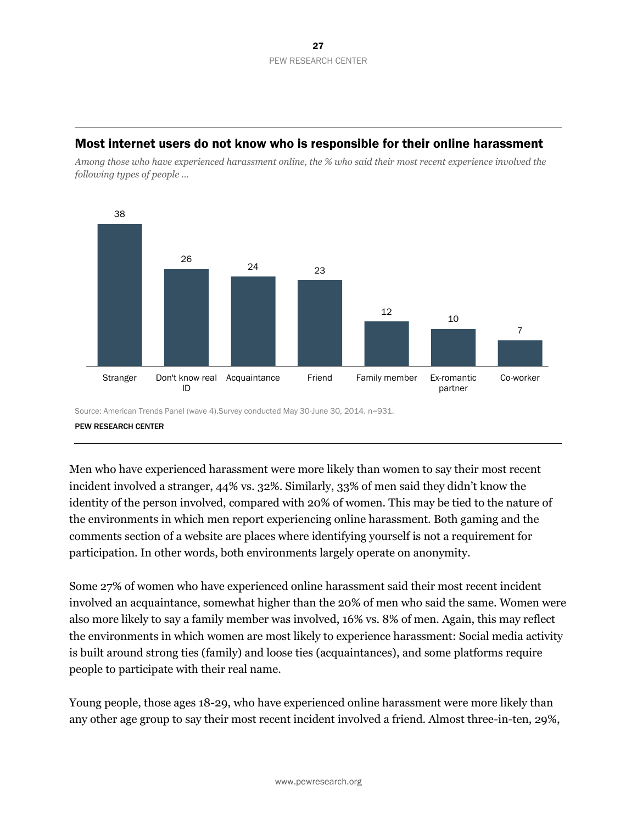#### Most internet users do not know who is responsible for their online harassment

*Among those who have experienced harassment online, the % who said their most recent experience involved the following types of people …*



Source: American Trends Panel (wave 4).Survey conducted May 30-June 30, 2014. n=931. PEW RESEARCH CENTER

Men who have experienced harassment were more likely than women to say their most recent incident involved a stranger, 44% vs. 32%. Similarly, 33% of men said they didn't know the identity of the person involved, compared with 20% of women. This may be tied to the nature of the environments in which men report experiencing online harassment. Both gaming and the comments section of a website are places where identifying yourself is not a requirement for participation. In other words, both environments largely operate on anonymity.

Some 27% of women who have experienced online harassment said their most recent incident involved an acquaintance, somewhat higher than the 20% of men who said the same. Women were also more likely to say a family member was involved, 16% vs. 8% of men. Again, this may reflect the environments in which women are most likely to experience harassment: Social media activity is built around strong ties (family) and loose ties (acquaintances), and some platforms require people to participate with their real name.

Young people, those ages 18-29, who have experienced online harassment were more likely than any other age group to say their most recent incident involved a friend. Almost three-in-ten, 29%,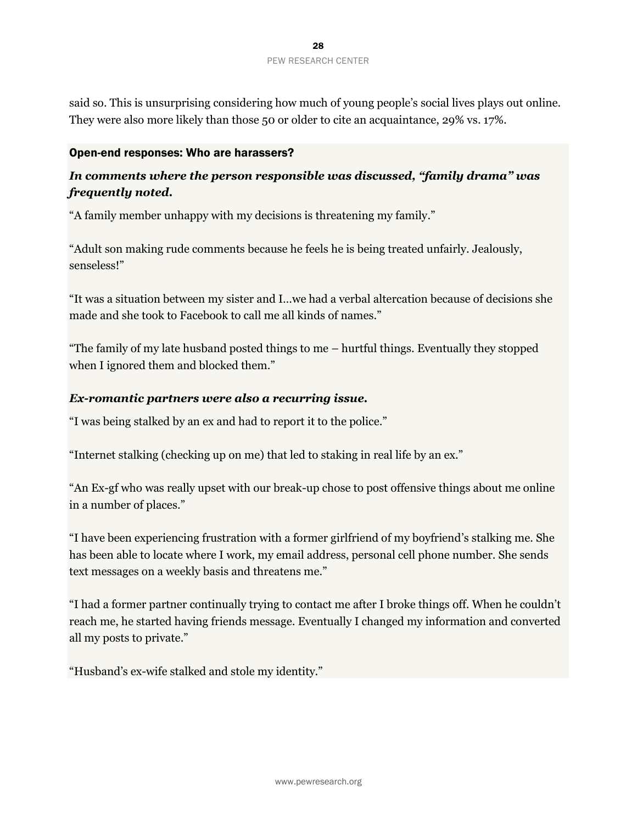said so. This is unsurprising considering how much of young people's social lives plays out online. They were also more likely than those 50 or older to cite an acquaintance, 29% vs. 17%.

#### Open-end responses: Who are harassers?

# *In comments where the person responsible was discussed, "family drama" was frequently noted.*

"A family member unhappy with my decisions is threatening my family."

"Adult son making rude comments because he feels he is being treated unfairly. Jealously, senseless!"

"It was a situation between my sister and I…we had a verbal altercation because of decisions she made and she took to Facebook to call me all kinds of names."

"The family of my late husband posted things to me – hurtful things. Eventually they stopped when I ignored them and blocked them."

#### *Ex-romantic partners were also a recurring issue.*

"I was being stalked by an ex and had to report it to the police."

"Internet stalking (checking up on me) that led to staking in real life by an ex."

"An Ex-gf who was really upset with our break-up chose to post offensive things about me online in a number of places."

"I have been experiencing frustration with a former girlfriend of my boyfriend's stalking me. She has been able to locate where I work, my email address, personal cell phone number. She sends text messages on a weekly basis and threatens me."

"I had a former partner continually trying to contact me after I broke things off. When he couldn't reach me, he started having friends message. Eventually I changed my information and converted all my posts to private."

"Husband's ex-wife stalked and stole my identity."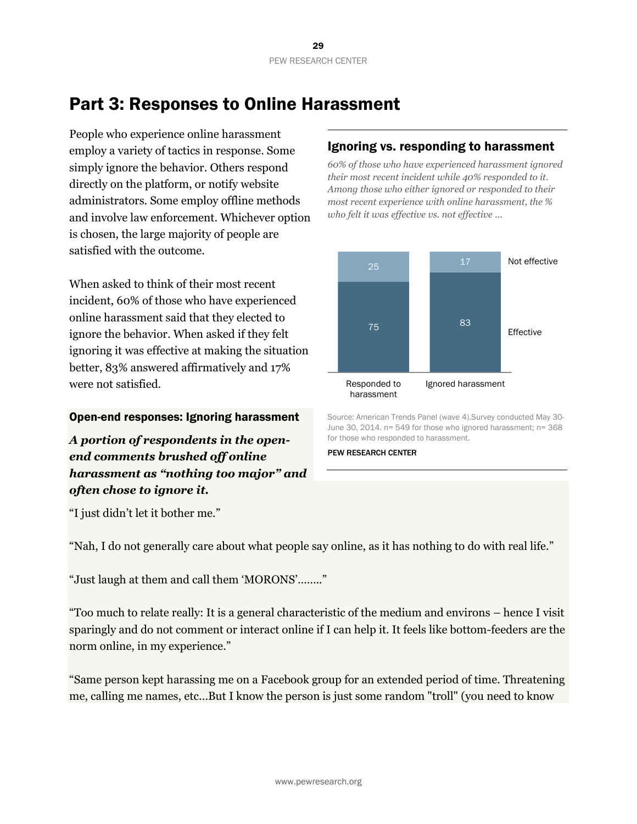# Part 3: Responses to Online Harassment

People who experience online harassment employ a variety of tactics in response. Some simply ignore the behavior. Others respond directly on the platform, or notify website administrators. Some employ offline methods and involve law enforcement. Whichever option is chosen, the large majority of people are satisfied with the outcome.

When asked to think of their most recent incident, 60% of those who have experienced online harassment said that they elected to ignore the behavior. When asked if they felt ignoring it was effective at making the situation better, 83% answered affirmatively and 17% were not satisfied.

## Open-end responses: Ignoring harassment

*A portion of respondents in the openend comments brushed off online harassment as "nothing too major" and often chose to ignore it.*

# Ignoring vs. responding to harassment

*60% of those who have experienced harassment ignored their most recent incident while 40% responded to it. Among those who either ignored or responded to their most recent experience with online harassment, the % who felt it was effective vs. not effective …*



Source: American Trends Panel (wave 4).Survey conducted May 30- June 30, 2014. n= 549 for those who ignored harassment; n= 368 for those who responded to harassment.

PEW RESEARCH CENTER

"I just didn't let it bother me."

"Nah, I do not generally care about what people say online, as it has nothing to do with real life."

"Just laugh at them and call them 'MORONS'…….."

"Too much to relate really: It is a general characteristic of the medium and environs – hence I visit sparingly and do not comment or interact online if I can help it. It feels like bottom-feeders are the norm online, in my experience."

"Same person kept harassing me on a Facebook group for an extended period of time. Threatening me, calling me names, etc...But I know the person is just some random "troll" (you need to know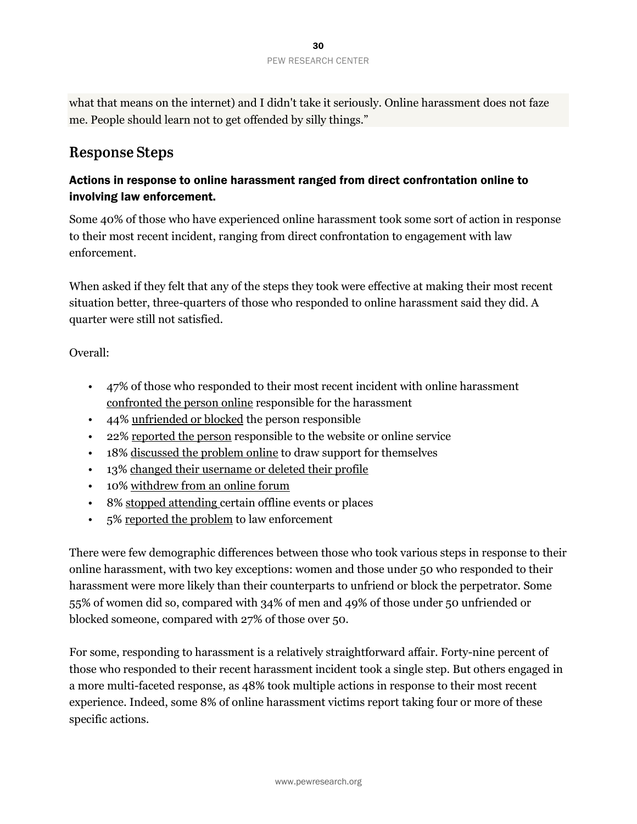what that means on the internet) and I didn't take it seriously. Online harassment does not faze me. People should learn not to get offended by silly things."

# **Response Steps**

# Actions in response to online harassment ranged from direct confrontation online to involving law enforcement.

Some 40% of those who have experienced online harassment took some sort of action in response to their most recent incident, ranging from direct confrontation to engagement with law enforcement.

When asked if they felt that any of the steps they took were effective at making their most recent situation better, three-quarters of those who responded to online harassment said they did. A quarter were still not satisfied.

Overall:

- 47% of those who responded to their most recent incident with online harassment confronted the person online responsible for the harassment
- 44% unfriended or blocked the person responsible
- 22% reported the person responsible to the website or online service
- 18% discussed the problem online to draw support for themselves
- 13% changed their username or deleted their profile
- 10% withdrew from an online forum
- 8% stopped attending certain offline events or places
- 5% reported the problem to law enforcement

There were few demographic differences between those who took various steps in response to their online harassment, with two key exceptions: women and those under 50 who responded to their harassment were more likely than their counterparts to unfriend or block the perpetrator. Some 55% of women did so, compared with 34% of men and 49% of those under 50 unfriended or blocked someone, compared with 27% of those over 50.

For some, responding to harassment is a relatively straightforward affair. Forty-nine percent of those who responded to their recent harassment incident took a single step. But others engaged in a more multi-faceted response, as 48% took multiple actions in response to their most recent experience. Indeed, some 8% of online harassment victims report taking four or more of these specific actions.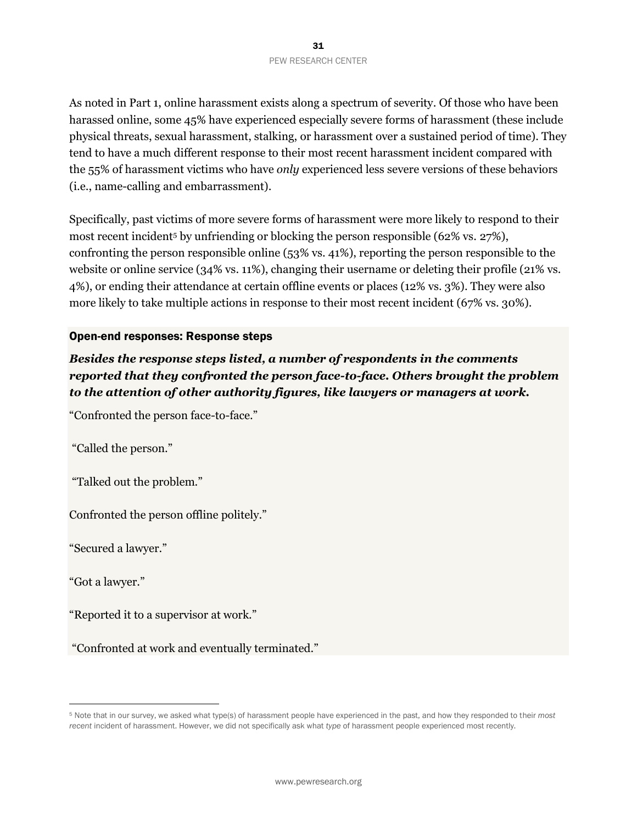As noted in Part 1, online harassment exists along a spectrum of severity. Of those who have been harassed online, some 45% have experienced especially severe forms of harassment (these include physical threats, sexual harassment, stalking, or harassment over a sustained period of time). They tend to have a much different response to their most recent harassment incident compared with the 55% of harassment victims who have *only* experienced less severe versions of these behaviors (i.e., name-calling and embarrassment).

Specifically, past victims of more severe forms of harassment were more likely to respond to their most recent incident<sup>5</sup> by unfriending or blocking the person responsible (62% vs. 27%), confronting the person responsible online (53% vs. 41%), reporting the person responsible to the website or online service (34% vs. 11%), changing their username or deleting their profile (21% vs. 4%), or ending their attendance at certain offline events or places (12% vs. 3%). They were also more likely to take multiple actions in response to their most recent incident (67% vs. 30%).

#### Open-end responses: Response steps

*Besides the response steps listed, a number of respondents in the comments reported that they confronted the person face-to-face. Others brought the problem to the attention of other authority figures, like lawyers or managers at work.*

"Confronted the person face-to-face."

"Called the person."

"Talked out the problem."

Confronted the person offline politely."

"Secured a lawyer."

"Got a lawyer."

 $\overline{a}$ 

"Reported it to a supervisor at work."

"Confronted at work and eventually terminated."

<sup>5</sup> Note that in our survey, we asked what type(s) of harassment people have experienced in the past, and how they responded to their *most recent* incident of harassment. However, we did not specifically ask what *type* of harassment people experienced most recently.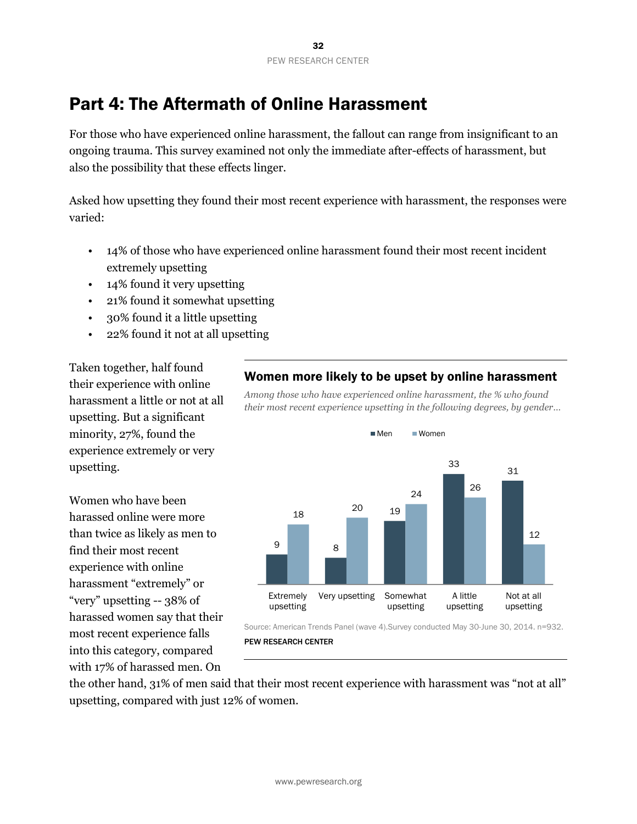# Part 4: The Aftermath of Online Harassment

For those who have experienced online harassment, the fallout can range from insignificant to an ongoing trauma. This survey examined not only the immediate after-effects of harassment, but also the possibility that these effects linger.

Asked how upsetting they found their most recent experience with harassment, the responses were varied:

- 14% of those who have experienced online harassment found their most recent incident extremely upsetting
- 14% found it very upsetting
- 21% found it somewhat upsetting
- 30% found it a little upsetting
- 22% found it not at all upsetting

Taken together, half found their experience with online harassment a little or not at all upsetting. But a significant minority, 27%, found the experience extremely or very upsetting.

Women who have been harassed online were more than twice as likely as men to find their most recent experience with online harassment "extremely" or "very" upsetting -- 38% of harassed women say that their most recent experience falls into this category, compared with 17% of harassed men. On

#### 9 8 19 33 31 18 20 24 26 12 Extremely upsetting Very upsetting Somewhat upsetting A little upsetting Not at all upsetting Men Women

## Women more likely to be upset by online harassment

*Among those who have experienced online harassment, the % who found their most recent experience upsetting in the following degrees, by gender…*

Source: American Trends Panel (wave 4).Survey conducted May 30-June 30, 2014. n=932. PEW RESEARCH CENTER

the other hand, 31% of men said that their most recent experience with harassment was "not at all" upsetting, compared with just 12% of women.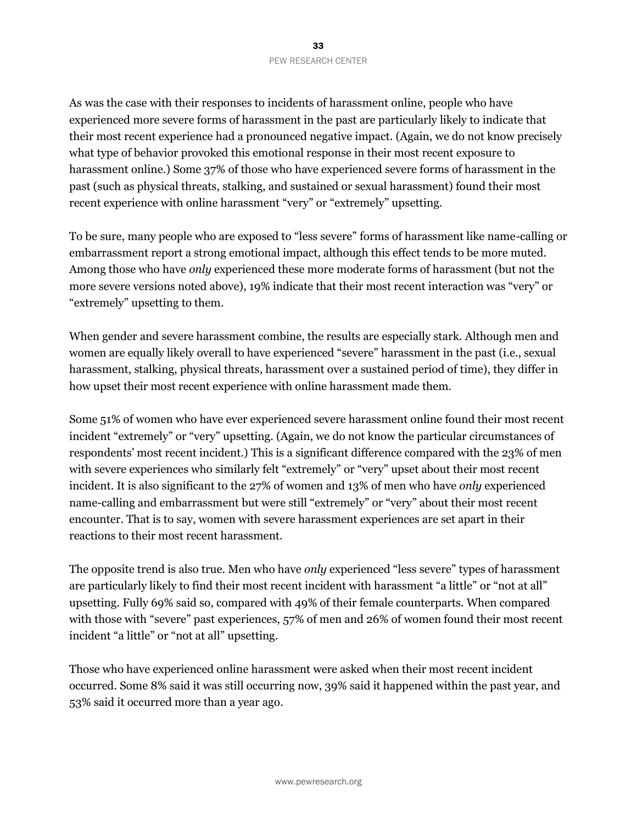As was the case with their responses to incidents of harassment online, people who have experienced more severe forms of harassment in the past are particularly likely to indicate that their most recent experience had a pronounced negative impact. (Again, we do not know precisely what type of behavior provoked this emotional response in their most recent exposure to harassment online.) Some 37% of those who have experienced severe forms of harassment in the past (such as physical threats, stalking, and sustained or sexual harassment) found their most recent experience with online harassment "very" or "extremely" upsetting.

To be sure, many people who are exposed to "less severe" forms of harassment like name-calling or embarrassment report a strong emotional impact, although this effect tends to be more muted. Among those who have *only* experienced these more moderate forms of harassment (but not the more severe versions noted above), 19% indicate that their most recent interaction was "very" or "extremely" upsetting to them.

When gender and severe harassment combine, the results are especially stark. Although men and women are equally likely overall to have experienced "severe" harassment in the past (i.e., sexual harassment, stalking, physical threats, harassment over a sustained period of time), they differ in how upset their most recent experience with online harassment made them.

Some 51% of women who have ever experienced severe harassment online found their most recent incident "extremely" or "very" upsetting. (Again, we do not know the particular circumstances of respondents' most recent incident.) This is a significant difference compared with the 23% of men with severe experiences who similarly felt "extremely" or "very" upset about their most recent incident. It is also significant to the 27% of women and 13% of men who have *only* experienced name-calling and embarrassment but were still "extremely" or "very" about their most recent encounter. That is to say, women with severe harassment experiences are set apart in their reactions to their most recent harassment.

The opposite trend is also true. Men who have *only* experienced "less severe" types of harassment are particularly likely to find their most recent incident with harassment "a little" or "not at all" upsetting. Fully 69% said so, compared with 49% of their female counterparts. When compared with those with "severe" past experiences, 57% of men and 26% of women found their most recent incident "a little" or "not at all" upsetting.

Those who have experienced online harassment were asked when their most recent incident occurred. Some 8% said it was still occurring now, 39% said it happened within the past year, and 53% said it occurred more than a year ago.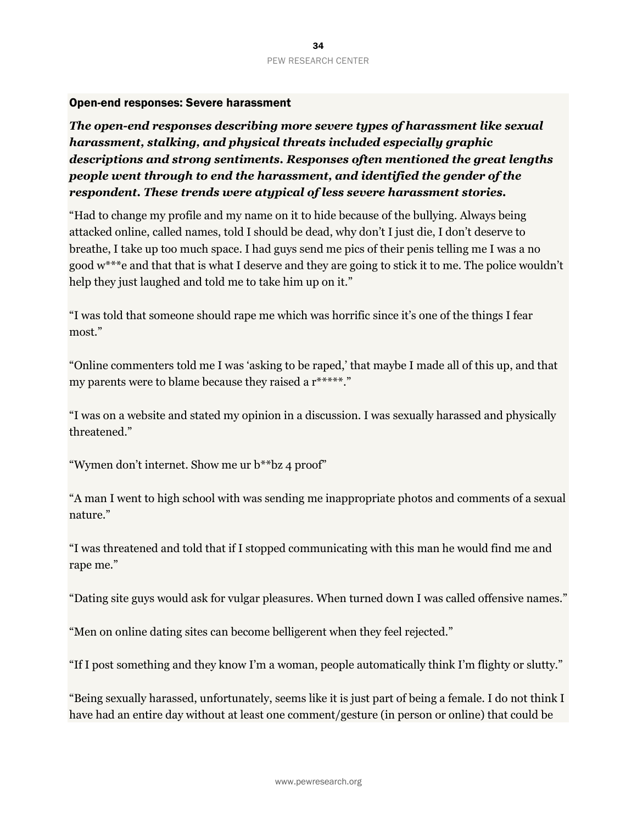#### Open-end responses: Severe harassment

*The open-end responses describing more severe types of harassment like sexual harassment, stalking, and physical threats included especially graphic descriptions and strong sentiments. Responses often mentioned the great lengths people went through to end the harassment, and identified the gender of the respondent. These trends were atypical of less severe harassment stories.*

"Had to change my profile and my name on it to hide because of the bullying. Always being attacked online, called names, told I should be dead, why don't I just die, I don't deserve to breathe, I take up too much space. I had guys send me pics of their penis telling me I was a no good w\*\*\*e and that that is what I deserve and they are going to stick it to me. The police wouldn't help they just laughed and told me to take him up on it."

"I was told that someone should rape me which was horrific since it's one of the things I fear most."

"Online commenters told me I was 'asking to be raped,' that maybe I made all of this up, and that my parents were to blame because they raised a r\*\*\*\*\*."

"I was on a website and stated my opinion in a discussion. I was sexually harassed and physically threatened."

"Wymen don't internet. Show me ur b\*\*bz 4 proof"

"A man I went to high school with was sending me inappropriate photos and comments of a sexual nature."

"I was threatened and told that if I stopped communicating with this man he would find me and rape me."

"Dating site guys would ask for vulgar pleasures. When turned down I was called offensive names."

"Men on online dating sites can become belligerent when they feel rejected."

"If I post something and they know I'm a woman, people automatically think I'm flighty or slutty."

"Being sexually harassed, unfortunately, seems like it is just part of being a female. I do not think I have had an entire day without at least one comment/gesture (in person or online) that could be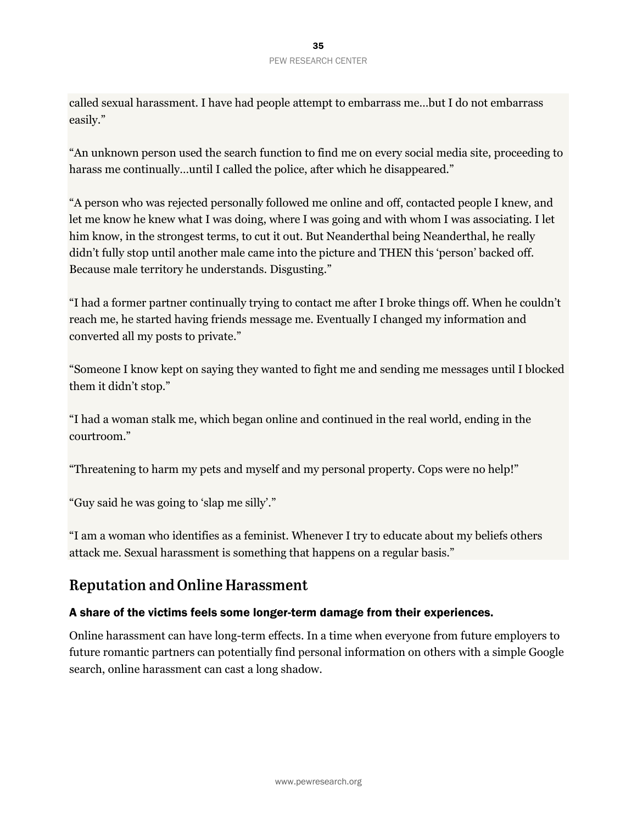called sexual harassment. I have had people attempt to embarrass me…but I do not embarrass easily."

"An unknown person used the search function to find me on every social media site, proceeding to harass me continually…until I called the police, after which he disappeared."

"A person who was rejected personally followed me online and off, contacted people I knew, and let me know he knew what I was doing, where I was going and with whom I was associating. I let him know, in the strongest terms, to cut it out. But Neanderthal being Neanderthal, he really didn't fully stop until another male came into the picture and THEN this 'person' backed off. Because male territory he understands. Disgusting."

"I had a former partner continually trying to contact me after I broke things off. When he couldn't reach me, he started having friends message me. Eventually I changed my information and converted all my posts to private."

"Someone I know kept on saying they wanted to fight me and sending me messages until I blocked them it didn't stop."

"I had a woman stalk me, which began online and continued in the real world, ending in the courtroom."

"Threatening to harm my pets and myself and my personal property. Cops were no help!"

"Guy said he was going to 'slap me silly'."

"I am a woman who identifies as a feminist. Whenever I try to educate about my beliefs others attack me. Sexual harassment is something that happens on a regular basis."

# **Reputation and Online Harassment**

## A share of the victims feels some longer-term damage from their experiences.

Online harassment can have long-term effects. In a time when everyone from future employers to future romantic partners can potentially find personal information on others with a simple Google search, online harassment can cast a long shadow.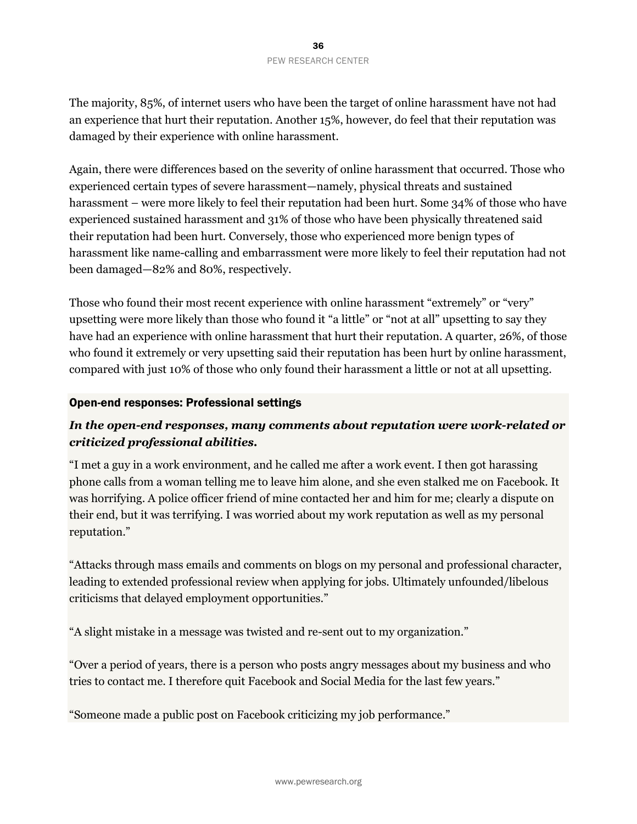The majority, 85%, of internet users who have been the target of online harassment have not had an experience that hurt their reputation. Another 15%, however, do feel that their reputation was damaged by their experience with online harassment.

Again, there were differences based on the severity of online harassment that occurred. Those who experienced certain types of severe harassment—namely, physical threats and sustained harassment – were more likely to feel their reputation had been hurt. Some 34% of those who have experienced sustained harassment and 31% of those who have been physically threatened said their reputation had been hurt. Conversely, those who experienced more benign types of harassment like name-calling and embarrassment were more likely to feel their reputation had not been damaged—82% and 80%, respectively.

Those who found their most recent experience with online harassment "extremely" or "very" upsetting were more likely than those who found it "a little" or "not at all" upsetting to say they have had an experience with online harassment that hurt their reputation. A quarter, 26%, of those who found it extremely or very upsetting said their reputation has been hurt by online harassment, compared with just 10% of those who only found their harassment a little or not at all upsetting.

#### Open-end responses: Professional settings

# *In the open-end responses, many comments about reputation were work-related or criticized professional abilities.*

"I met a guy in a work environment, and he called me after a work event. I then got harassing phone calls from a woman telling me to leave him alone, and she even stalked me on Facebook. It was horrifying. A police officer friend of mine contacted her and him for me; clearly a dispute on their end, but it was terrifying. I was worried about my work reputation as well as my personal reputation."

"Attacks through mass emails and comments on blogs on my personal and professional character, leading to extended professional review when applying for jobs. Ultimately unfounded/libelous criticisms that delayed employment opportunities."

"A slight mistake in a message was twisted and re-sent out to my organization."

"Over a period of years, there is a person who posts angry messages about my business and who tries to contact me. I therefore quit Facebook and Social Media for the last few years."

"Someone made a public post on Facebook criticizing my job performance."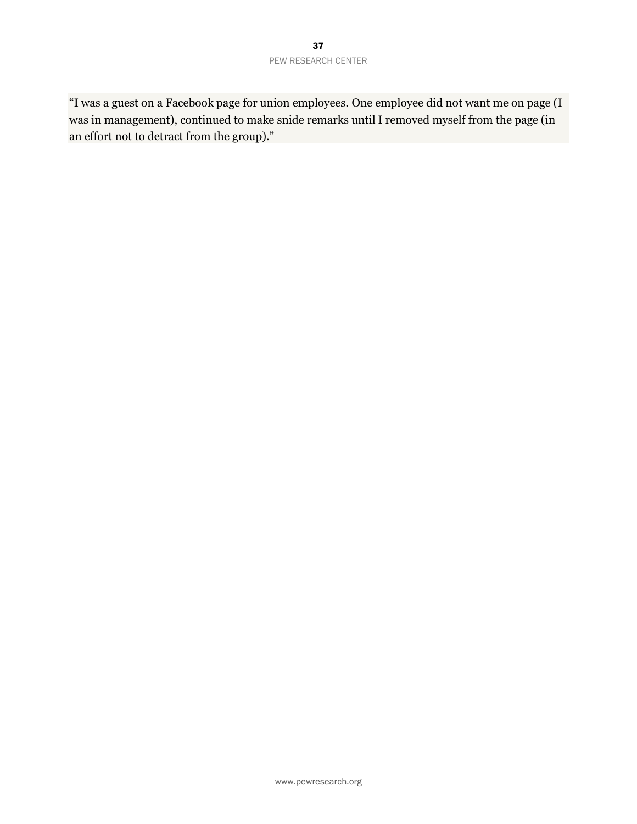"I was a guest on a Facebook page for union employees. One employee did not want me on page (I was in management), continued to make snide remarks until I removed myself from the page (in an effort not to detract from the group)."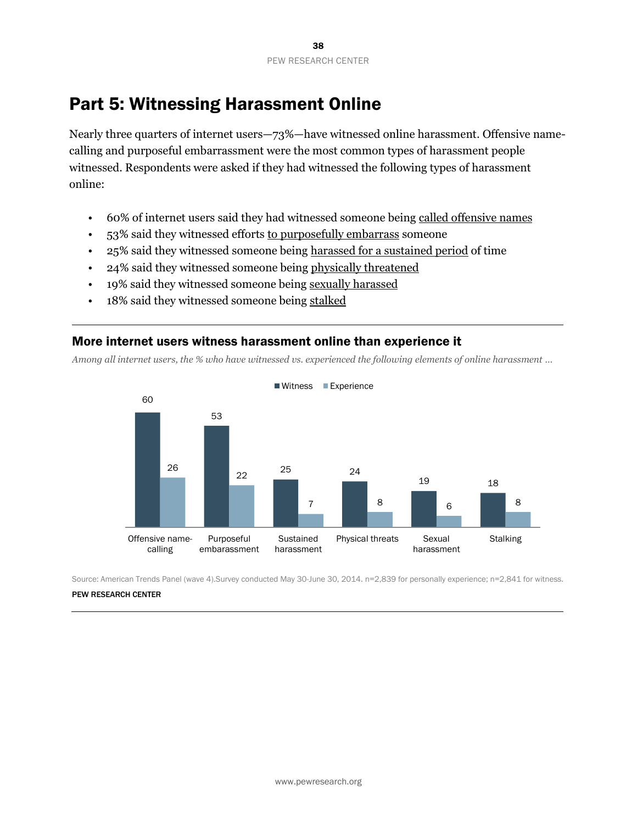# Part 5: Witnessing Harassment Online

Nearly three quarters of internet users—73%—have witnessed online harassment. Offensive namecalling and purposeful embarrassment were the most common types of harassment people witnessed. Respondents were asked if they had witnessed the following types of harassment online:

- 60% of internet users said they had witnessed someone being called offensive names
- 53% said they witnessed efforts to purposefully embarrass someone
- 25% said they witnessed someone being harassed for a sustained period of time
- 24% said they witnessed someone being physically threatened
- 19% said they witnessed someone being sexually harassed
- 18% said they witnessed someone being stalked

## More internet users witness harassment online than experience it

*Among all internet users, the % who have witnessed vs. experienced the following elements of online harassment …*



Source: American Trends Panel (wave 4).Survey conducted May 30-June 30, 2014. n=2,839 for personally experience; n=2,841 for witness.

#### PEW RESEARCH CENTER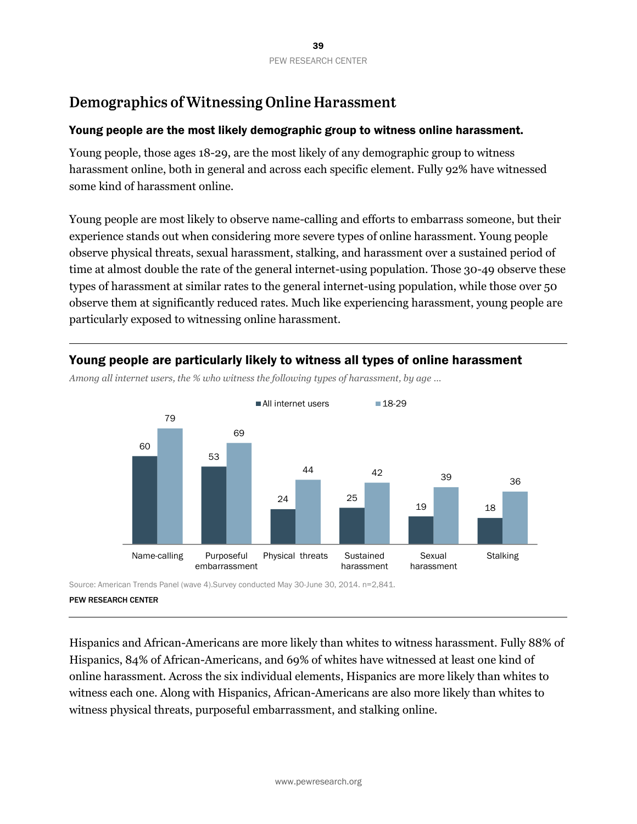# Demographics of Witnessing Online Harassment

### Young people are the most likely demographic group to witness online harassment.

Young people, those ages 18-29, are the most likely of any demographic group to witness harassment online, both in general and across each specific element. Fully 92% have witnessed some kind of harassment online.

Young people are most likely to observe name-calling and efforts to embarrass someone, but their experience stands out when considering more severe types of online harassment. Young people observe physical threats, sexual harassment, stalking, and harassment over a sustained period of time at almost double the rate of the general internet-using population. Those 30-49 observe these types of harassment at similar rates to the general internet-using population, while those over 50 observe them at significantly reduced rates. Much like experiencing harassment, young people are particularly exposed to witnessing online harassment.



#### Young people are particularly likely to witness all types of online harassment

*Among all internet users, the % who witness the following types of harassment, by age …*

Source: American Trends Panel (wave 4).Survey conducted May 30-June 30, 2014. n=2,841.

Hispanics and African-Americans are more likely than whites to witness harassment. Fully 88% of Hispanics, 84% of African-Americans, and 69% of whites have witnessed at least one kind of online harassment. Across the six individual elements, Hispanics are more likely than whites to witness each one. Along with Hispanics, African-Americans are also more likely than whites to witness physical threats, purposeful embarrassment, and stalking online.

PEW RESEARCH CENTER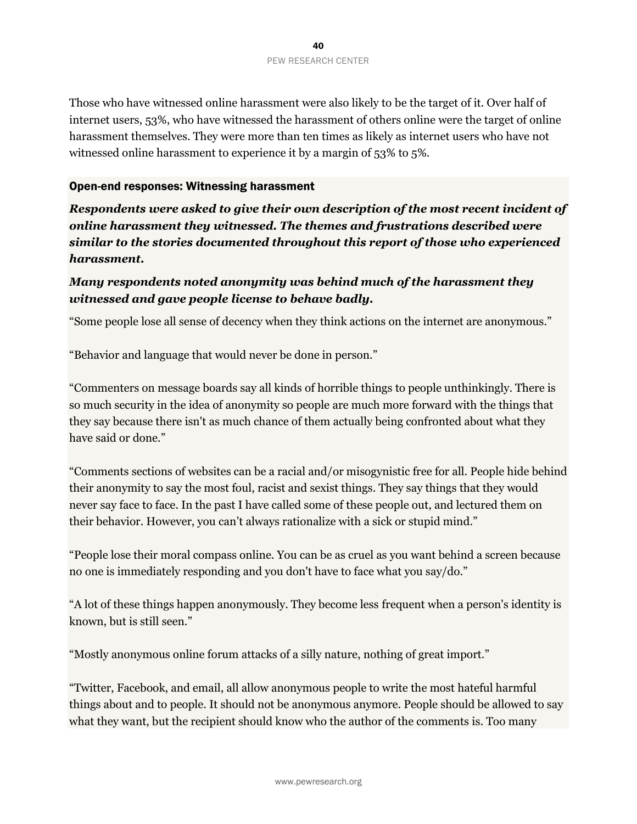Those who have witnessed online harassment were also likely to be the target of it. Over half of internet users, 53%, who have witnessed the harassment of others online were the target of online harassment themselves. They were more than ten times as likely as internet users who have not witnessed online harassment to experience it by a margin of 53% to 5%.

#### Open-end responses: Witnessing harassment

*Respondents were asked to give their own description of the most recent incident of online harassment they witnessed. The themes and frustrations described were similar to the stories documented throughout this report of those who experienced harassment.*

# *Many respondents noted anonymity was behind much of the harassment they witnessed and gave people license to behave badly.*

"Some people lose all sense of decency when they think actions on the internet are anonymous."

"Behavior and language that would never be done in person."

"Commenters on message boards say all kinds of horrible things to people unthinkingly. There is so much security in the idea of anonymity so people are much more forward with the things that they say because there isn't as much chance of them actually being confronted about what they have said or done."

"Comments sections of websites can be a racial and/or misogynistic free for all. People hide behind their anonymity to say the most foul, racist and sexist things. They say things that they would never say face to face. In the past I have called some of these people out, and lectured them on their behavior. However, you can't always rationalize with a sick or stupid mind."

"People lose their moral compass online. You can be as cruel as you want behind a screen because no one is immediately responding and you don't have to face what you say/do."

"A lot of these things happen anonymously. They become less frequent when a person's identity is known, but is still seen."

"Mostly anonymous online forum attacks of a silly nature, nothing of great import."

"Twitter, Facebook, and email, all allow anonymous people to write the most hateful harmful things about and to people. It should not be anonymous anymore. People should be allowed to say what they want, but the recipient should know who the author of the comments is. Too many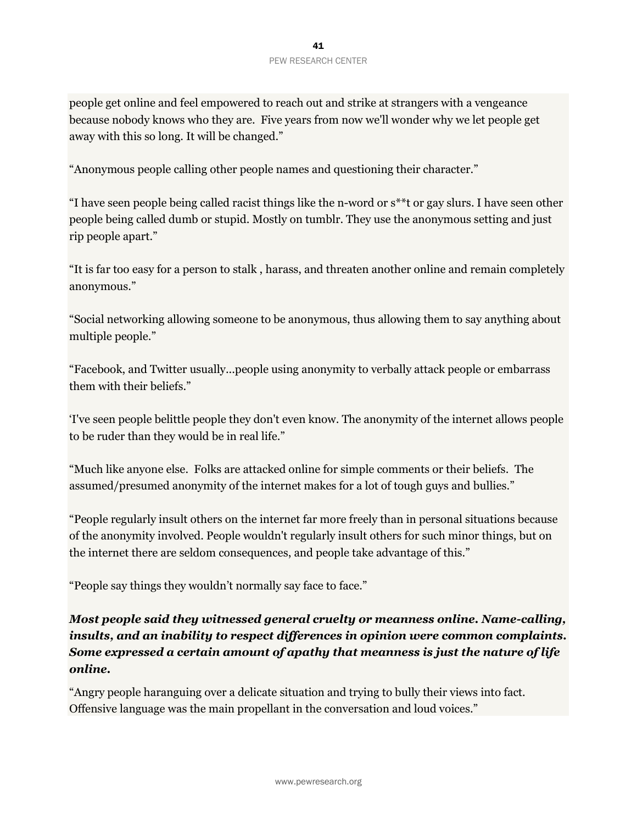people get online and feel empowered to reach out and strike at strangers with a vengeance because nobody knows who they are. Five years from now we'll wonder why we let people get away with this so long. It will be changed."

"Anonymous people calling other people names and questioning their character."

"I have seen people being called racist things like the n-word or s\*\*t or gay slurs. I have seen other people being called dumb or stupid. Mostly on tumblr. They use the anonymous setting and just rip people apart."

"It is far too easy for a person to stalk , harass, and threaten another online and remain completely anonymous."

"Social networking allowing someone to be anonymous, thus allowing them to say anything about multiple people."

"Facebook, and Twitter usually...people using anonymity to verbally attack people or embarrass them with their beliefs."

'I've seen people belittle people they don't even know. The anonymity of the internet allows people to be ruder than they would be in real life."

"Much like anyone else. Folks are attacked online for simple comments or their beliefs. The assumed/presumed anonymity of the internet makes for a lot of tough guys and bullies."

"People regularly insult others on the internet far more freely than in personal situations because of the anonymity involved. People wouldn't regularly insult others for such minor things, but on the internet there are seldom consequences, and people take advantage of this."

"People say things they wouldn't normally say face to face."

*Most people said they witnessed general cruelty or meanness online. Name-calling, insults, and an inability to respect differences in opinion were common complaints. Some expressed a certain amount of apathy that meanness is just the nature of life online.*

"Angry people haranguing over a delicate situation and trying to bully their views into fact. Offensive language was the main propellant in the conversation and loud voices."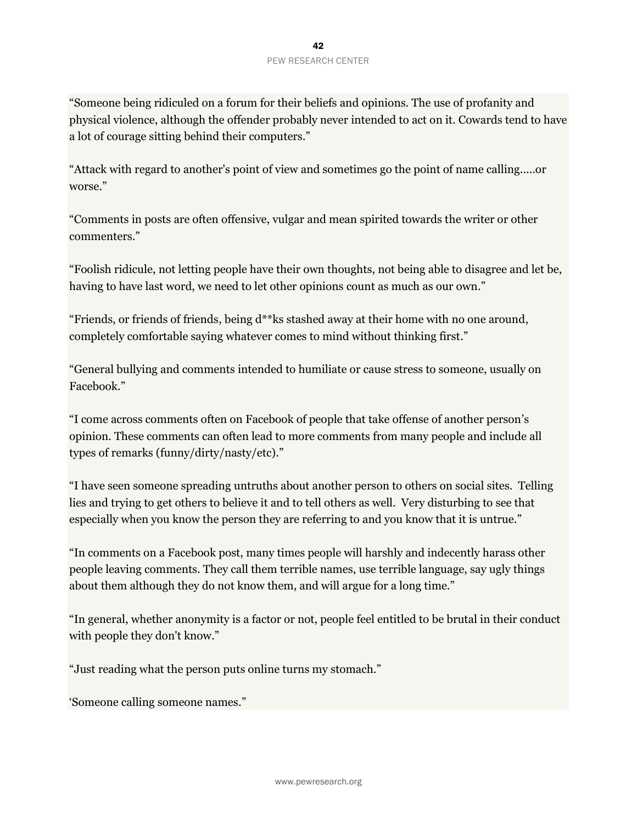"Someone being ridiculed on a forum for their beliefs and opinions. The use of profanity and physical violence, although the offender probably never intended to act on it. Cowards tend to have a lot of courage sitting behind their computers."

"Attack with regard to another's point of view and sometimes go the point of name calling.....or worse."

"Comments in posts are often offensive, vulgar and mean spirited towards the writer or other commenters."

"Foolish ridicule, not letting people have their own thoughts, not being able to disagree and let be, having to have last word, we need to let other opinions count as much as our own."

"Friends, or friends of friends, being d\*\*ks stashed away at their home with no one around, completely comfortable saying whatever comes to mind without thinking first."

"General bullying and comments intended to humiliate or cause stress to someone, usually on Facebook."

"I come across comments often on Facebook of people that take offense of another person's opinion. These comments can often lead to more comments from many people and include all types of remarks (funny/dirty/nasty/etc)."

"I have seen someone spreading untruths about another person to others on social sites. Telling lies and trying to get others to believe it and to tell others as well. Very disturbing to see that especially when you know the person they are referring to and you know that it is untrue."

"In comments on a Facebook post, many times people will harshly and indecently harass other people leaving comments. They call them terrible names, use terrible language, say ugly things about them although they do not know them, and will argue for a long time."

"In general, whether anonymity is a factor or not, people feel entitled to be brutal in their conduct with people they don't know."

"Just reading what the person puts online turns my stomach."

'Someone calling someone names."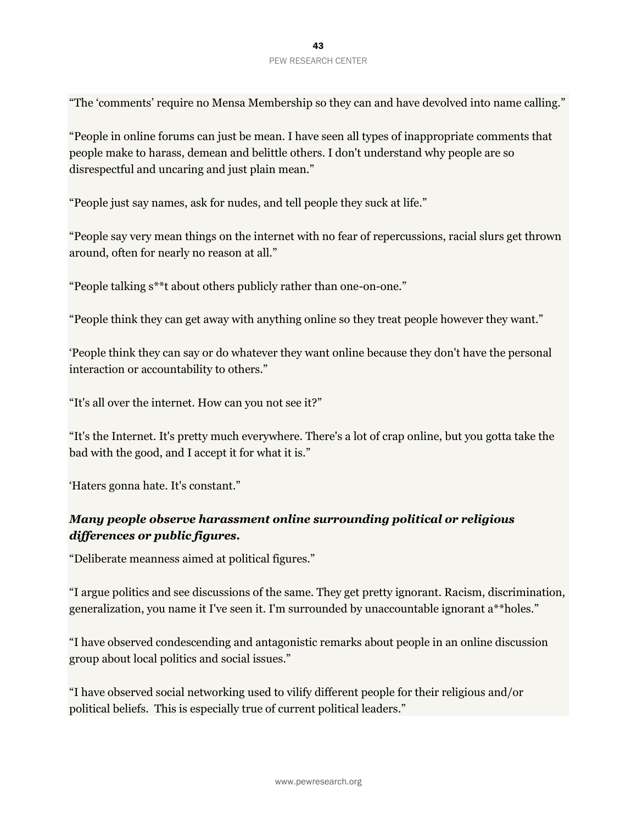"The 'comments' require no Mensa Membership so they can and have devolved into name calling."

"People in online forums can just be mean. I have seen all types of inappropriate comments that people make to harass, demean and belittle others. I don't understand why people are so disrespectful and uncaring and just plain mean."

"People just say names, ask for nudes, and tell people they suck at life."

"People say very mean things on the internet with no fear of repercussions, racial slurs get thrown around, often for nearly no reason at all."

"People talking s\*\*t about others publicly rather than one-on-one."

"People think they can get away with anything online so they treat people however they want."

'People think they can say or do whatever they want online because they don't have the personal interaction or accountability to others."

"It's all over the internet. How can you not see it?"

"It's the Internet. It's pretty much everywhere. There's a lot of crap online, but you gotta take the bad with the good, and I accept it for what it is."

'Haters gonna hate. It's constant."

# *Many people observe harassment online surrounding political or religious differences or public figures.*

"Deliberate meanness aimed at political figures."

"I argue politics and see discussions of the same. They get pretty ignorant. Racism, discrimination, generalization, you name it I've seen it. I'm surrounded by unaccountable ignorant a\*\*holes."

"I have observed condescending and antagonistic remarks about people in an online discussion group about local politics and social issues."

"I have observed social networking used to vilify different people for their religious and/or political beliefs. This is especially true of current political leaders."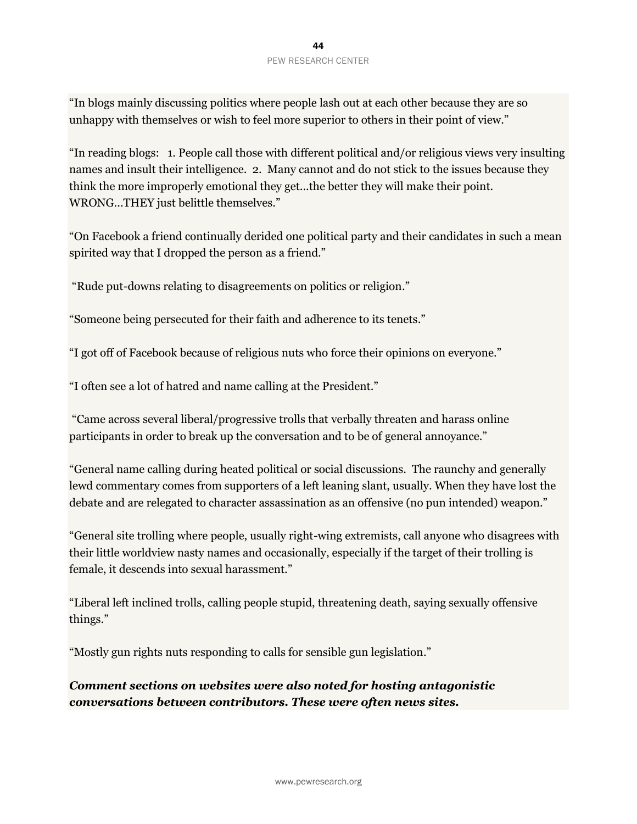"In blogs mainly discussing politics where people lash out at each other because they are so unhappy with themselves or wish to feel more superior to others in their point of view."

"In reading blogs: 1. People call those with different political and/or religious views very insulting names and insult their intelligence. 2. Many cannot and do not stick to the issues because they think the more improperly emotional they get...the better they will make their point. WRONG...THEY just belittle themselves."

"On Facebook a friend continually derided one political party and their candidates in such a mean spirited way that I dropped the person as a friend."

"Rude put-downs relating to disagreements on politics or religion."

"Someone being persecuted for their faith and adherence to its tenets."

"I got off of Facebook because of religious nuts who force their opinions on everyone."

"I often see a lot of hatred and name calling at the President."

"Came across several liberal/progressive trolls that verbally threaten and harass online participants in order to break up the conversation and to be of general annoyance."

"General name calling during heated political or social discussions. The raunchy and generally lewd commentary comes from supporters of a left leaning slant, usually. When they have lost the debate and are relegated to character assassination as an offensive (no pun intended) weapon."

"General site trolling where people, usually right-wing extremists, call anyone who disagrees with their little worldview nasty names and occasionally, especially if the target of their trolling is female, it descends into sexual harassment."

"Liberal left inclined trolls, calling people stupid, threatening death, saying sexually offensive things."

"Mostly gun rights nuts responding to calls for sensible gun legislation."

*Comment sections on websites were also noted for hosting antagonistic conversations between contributors. These were often news sites.*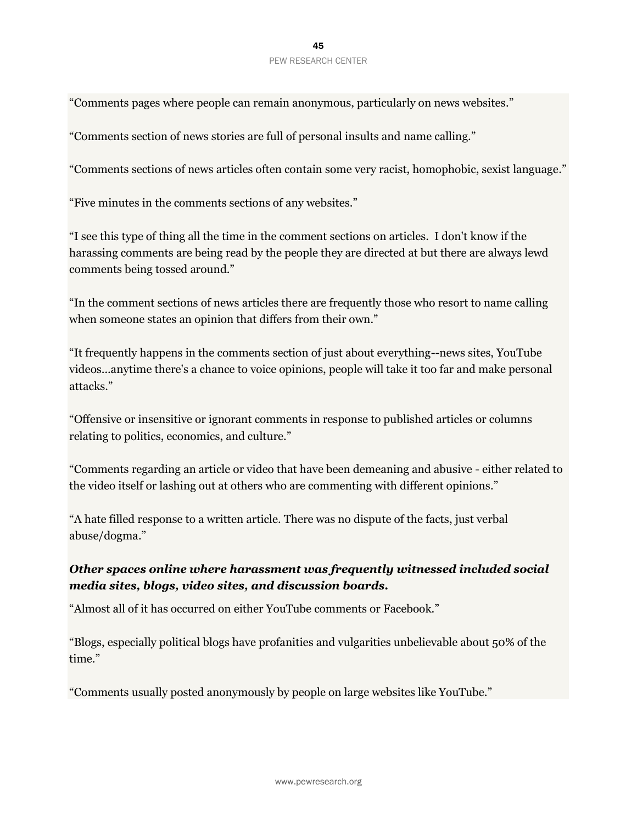#### 45 PEW RESEARCH CENTER

"Comments pages where people can remain anonymous, particularly on news websites."

"Comments section of news stories are full of personal insults and name calling."

"Comments sections of news articles often contain some very racist, homophobic, sexist language."

"Five minutes in the comments sections of any websites."

"I see this type of thing all the time in the comment sections on articles. I don't know if the harassing comments are being read by the people they are directed at but there are always lewd comments being tossed around."

"In the comment sections of news articles there are frequently those who resort to name calling when someone states an opinion that differs from their own."

"It frequently happens in the comments section of just about everything--news sites, YouTube videos...anytime there's a chance to voice opinions, people will take it too far and make personal attacks."

"Offensive or insensitive or ignorant comments in response to published articles or columns relating to politics, economics, and culture."

"Comments regarding an article or video that have been demeaning and abusive - either related to the video itself or lashing out at others who are commenting with different opinions."

"A hate filled response to a written article. There was no dispute of the facts, just verbal abuse/dogma."

## *Other spaces online where harassment was frequently witnessed included social media sites, blogs, video sites, and discussion boards.*

"Almost all of it has occurred on either YouTube comments or Facebook."

"Blogs, especially political blogs have profanities and vulgarities unbelievable about 50% of the time."

"Comments usually posted anonymously by people on large websites like YouTube."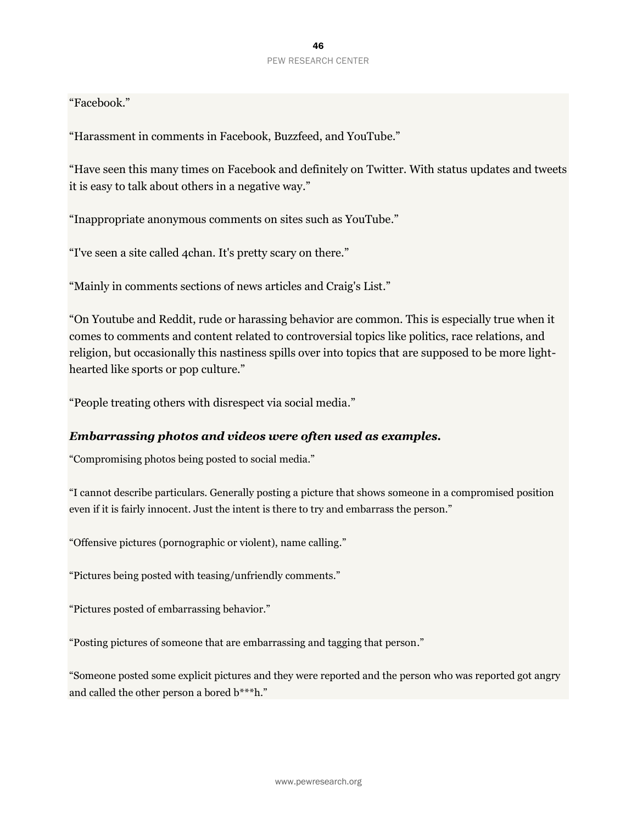"Facebook."

"Harassment in comments in Facebook, Buzzfeed, and YouTube."

"Have seen this many times on Facebook and definitely on Twitter. With status updates and tweets it is easy to talk about others in a negative way."

"Inappropriate anonymous comments on sites such as YouTube."

"I've seen a site called 4chan. It's pretty scary on there."

"Mainly in comments sections of news articles and Craig's List."

"On Youtube and Reddit, rude or harassing behavior are common. This is especially true when it comes to comments and content related to controversial topics like politics, race relations, and religion, but occasionally this nastiness spills over into topics that are supposed to be more lighthearted like sports or pop culture."

"People treating others with disrespect via social media."

#### *Embarrassing photos and videos were often used as examples.*

"Compromising photos being posted to social media."

"I cannot describe particulars. Generally posting a picture that shows someone in a compromised position even if it is fairly innocent. Just the intent is there to try and embarrass the person."

"Offensive pictures (pornographic or violent), name calling."

"Pictures being posted with teasing/unfriendly comments."

"Pictures posted of embarrassing behavior."

"Posting pictures of someone that are embarrassing and tagging that person."

"Someone posted some explicit pictures and they were reported and the person who was reported got angry and called the other person a bored b\*\*\*h."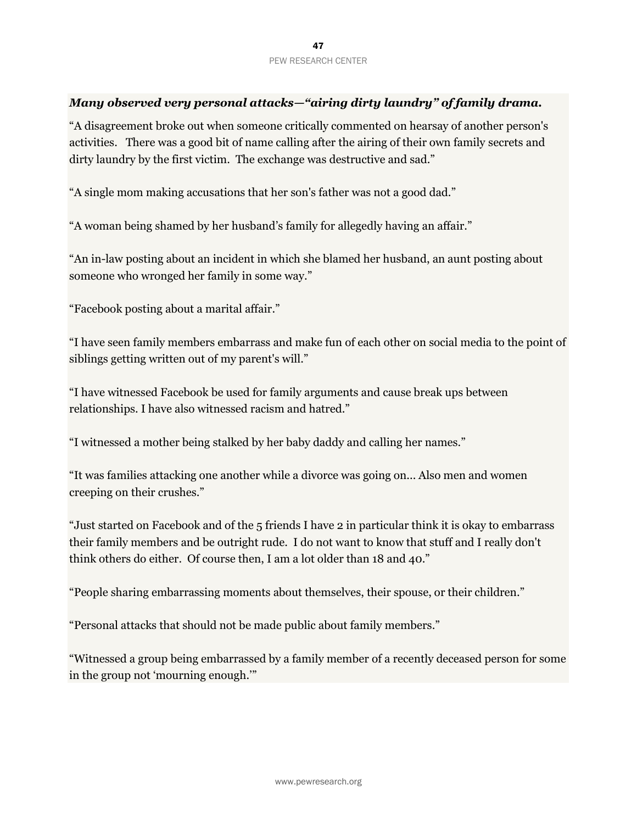#### *Many observed very personal attacks—"airing dirty laundry" of family drama.*

"A disagreement broke out when someone critically commented on hearsay of another person's activities. There was a good bit of name calling after the airing of their own family secrets and dirty laundry by the first victim. The exchange was destructive and sad."

"A single mom making accusations that her son's father was not a good dad."

"A woman being shamed by her husband's family for allegedly having an affair."

"An in-law posting about an incident in which she blamed her husband, an aunt posting about someone who wronged her family in some way."

"Facebook posting about a marital affair."

"I have seen family members embarrass and make fun of each other on social media to the point of siblings getting written out of my parent's will."

"I have witnessed Facebook be used for family arguments and cause break ups between relationships. I have also witnessed racism and hatred."

"I witnessed a mother being stalked by her baby daddy and calling her names."

"It was families attacking one another while a divorce was going on... Also men and women creeping on their crushes."

"Just started on Facebook and of the 5 friends I have 2 in particular think it is okay to embarrass their family members and be outright rude. I do not want to know that stuff and I really don't think others do either. Of course then, I am a lot older than 18 and 40."

"People sharing embarrassing moments about themselves, their spouse, or their children."

"Personal attacks that should not be made public about family members."

"Witnessed a group being embarrassed by a family member of a recently deceased person for some in the group not 'mourning enough.'"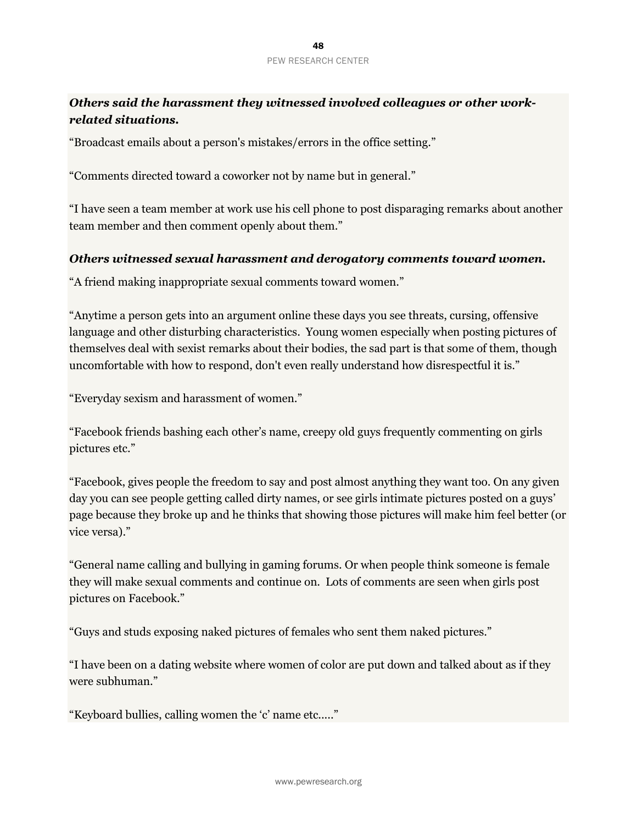# *Others said the harassment they witnessed involved colleagues or other workrelated situations.*

"Broadcast emails about a person's mistakes/errors in the office setting."

"Comments directed toward a coworker not by name but in general."

"I have seen a team member at work use his cell phone to post disparaging remarks about another team member and then comment openly about them."

#### *Others witnessed sexual harassment and derogatory comments toward women.*

"A friend making inappropriate sexual comments toward women."

"Anytime a person gets into an argument online these days you see threats, cursing, offensive language and other disturbing characteristics. Young women especially when posting pictures of themselves deal with sexist remarks about their bodies, the sad part is that some of them, though uncomfortable with how to respond, don't even really understand how disrespectful it is."

"Everyday sexism and harassment of women."

"Facebook friends bashing each other's name, creepy old guys frequently commenting on girls pictures etc."

"Facebook, gives people the freedom to say and post almost anything they want too. On any given day you can see people getting called dirty names, or see girls intimate pictures posted on a guys' page because they broke up and he thinks that showing those pictures will make him feel better (or vice versa)."

"General name calling and bullying in gaming forums. Or when people think someone is female they will make sexual comments and continue on. Lots of comments are seen when girls post pictures on Facebook."

"Guys and studs exposing naked pictures of females who sent them naked pictures."

"I have been on a dating website where women of color are put down and talked about as if they were subhuman."

"Keyboard bullies, calling women the 'c' name etc....."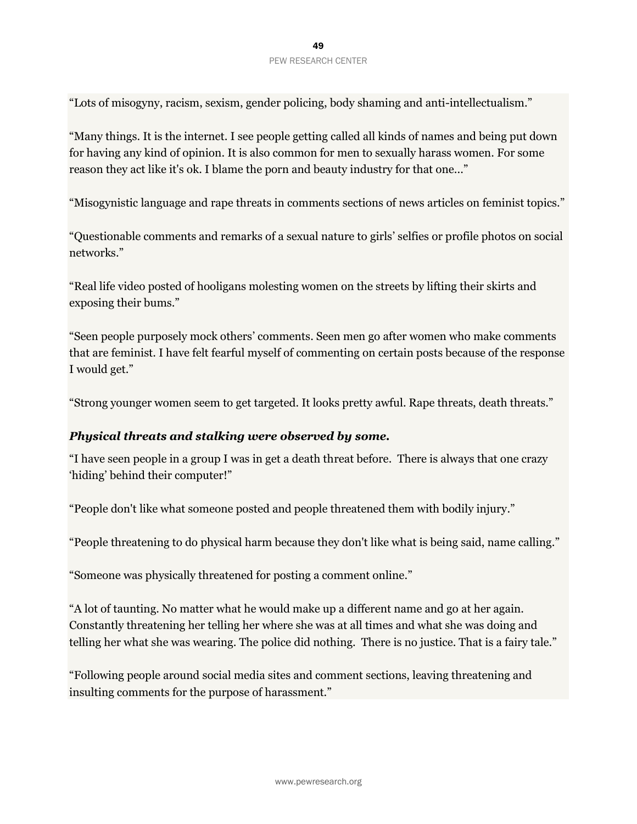"Lots of misogyny, racism, sexism, gender policing, body shaming and anti-intellectualism."

"Many things. It is the internet. I see people getting called all kinds of names and being put down for having any kind of opinion. It is also common for men to sexually harass women. For some reason they act like it's ok. I blame the porn and beauty industry for that one..."

"Misogynistic language and rape threats in comments sections of news articles on feminist topics."

"Questionable comments and remarks of a sexual nature to girls' selfies or profile photos on social networks."

"Real life video posted of hooligans molesting women on the streets by lifting their skirts and exposing their bums."

"Seen people purposely mock others' comments. Seen men go after women who make comments that are feminist. I have felt fearful myself of commenting on certain posts because of the response I would get."

"Strong younger women seem to get targeted. It looks pretty awful. Rape threats, death threats."

#### *Physical threats and stalking were observed by some.*

"I have seen people in a group I was in get a death threat before. There is always that one crazy 'hiding' behind their computer!"

"People don't like what someone posted and people threatened them with bodily injury."

"People threatening to do physical harm because they don't like what is being said, name calling."

"Someone was physically threatened for posting a comment online."

"A lot of taunting. No matter what he would make up a different name and go at her again. Constantly threatening her telling her where she was at all times and what she was doing and telling her what she was wearing. The police did nothing. There is no justice. That is a fairy tale."

"Following people around social media sites and comment sections, leaving threatening and insulting comments for the purpose of harassment."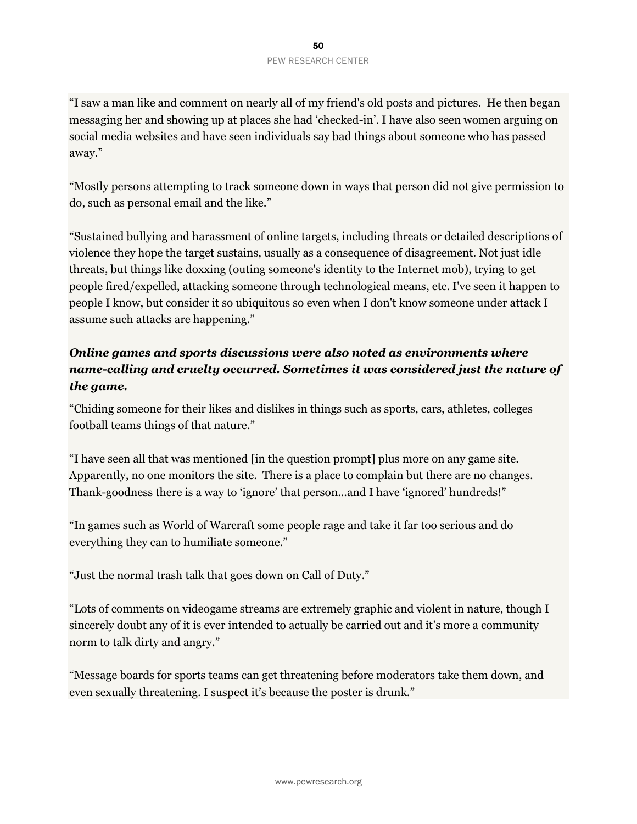"I saw a man like and comment on nearly all of my friend's old posts and pictures. He then began messaging her and showing up at places she had 'checked-in'. I have also seen women arguing on social media websites and have seen individuals say bad things about someone who has passed away."

"Mostly persons attempting to track someone down in ways that person did not give permission to do, such as personal email and the like."

"Sustained bullying and harassment of online targets, including threats or detailed descriptions of violence they hope the target sustains, usually as a consequence of disagreement. Not just idle threats, but things like doxxing (outing someone's identity to the Internet mob), trying to get people fired/expelled, attacking someone through technological means, etc. I've seen it happen to people I know, but consider it so ubiquitous so even when I don't know someone under attack I assume such attacks are happening."

# *Online games and sports discussions were also noted as environments where name-calling and cruelty occurred. Sometimes it was considered just the nature of the game.*

"Chiding someone for their likes and dislikes in things such as sports, cars, athletes, colleges football teams things of that nature."

"I have seen all that was mentioned [in the question prompt] plus more on any game site. Apparently, no one monitors the site. There is a place to complain but there are no changes. Thank-goodness there is a way to 'ignore' that person...and I have 'ignored' hundreds!"

"In games such as World of Warcraft some people rage and take it far too serious and do everything they can to humiliate someone."

"Just the normal trash talk that goes down on Call of Duty."

"Lots of comments on videogame streams are extremely graphic and violent in nature, though I sincerely doubt any of it is ever intended to actually be carried out and it's more a community norm to talk dirty and angry."

"Message boards for sports teams can get threatening before moderators take them down, and even sexually threatening. I suspect it's because the poster is drunk."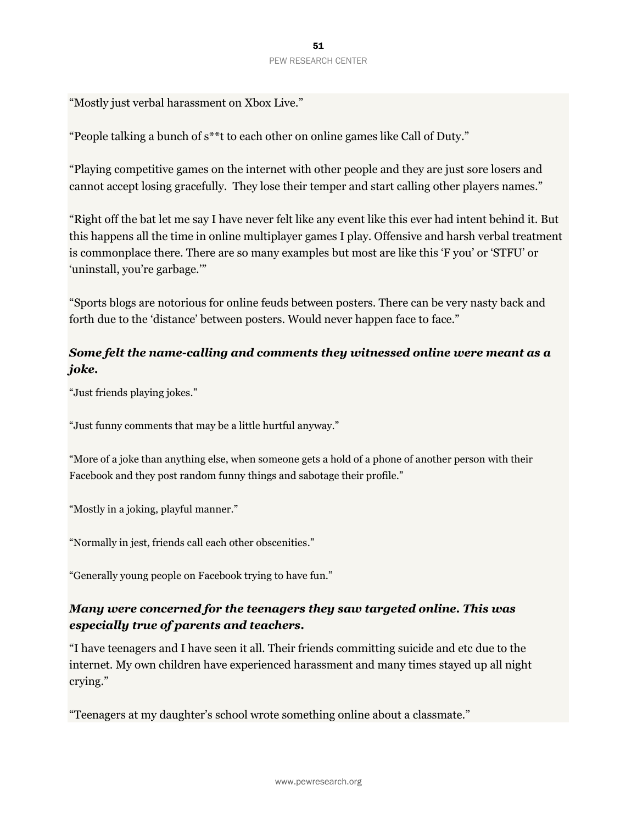"Mostly just verbal harassment on Xbox Live."

"People talking a bunch of s\*\*t to each other on online games like Call of Duty."

"Playing competitive games on the internet with other people and they are just sore losers and cannot accept losing gracefully. They lose their temper and start calling other players names."

"Right off the bat let me say I have never felt like any event like this ever had intent behind it. But this happens all the time in online multiplayer games I play. Offensive and harsh verbal treatment is commonplace there. There are so many examples but most are like this 'F you' or 'STFU' or 'uninstall, you're garbage.'"

"Sports blogs are notorious for online feuds between posters. There can be very nasty back and forth due to the 'distance' between posters. Would never happen face to face."

# *Some felt the name-calling and comments they witnessed online were meant as a joke.*

"Just friends playing jokes."

"Just funny comments that may be a little hurtful anyway."

"More of a joke than anything else, when someone gets a hold of a phone of another person with their Facebook and they post random funny things and sabotage their profile."

"Mostly in a joking, playful manner."

"Normally in jest, friends call each other obscenities."

"Generally young people on Facebook trying to have fun."

## *Many were concerned for the teenagers they saw targeted online. This was especially true of parents and teachers.*

"I have teenagers and I have seen it all. Their friends committing suicide and etc due to the internet. My own children have experienced harassment and many times stayed up all night crying."

"Teenagers at my daughter's school wrote something online about a classmate."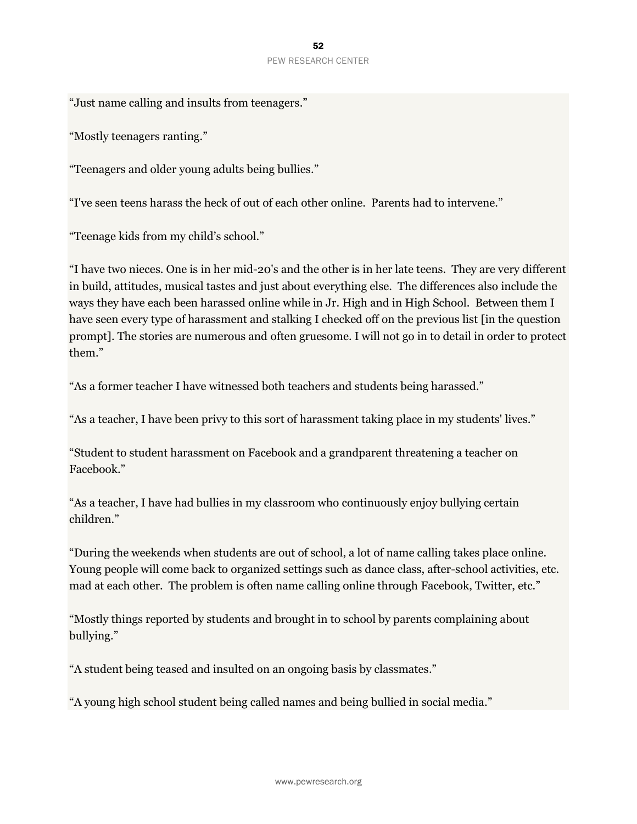"Just name calling and insults from teenagers."

"Mostly teenagers ranting."

"Teenagers and older young adults being bullies."

"I've seen teens harass the heck of out of each other online. Parents had to intervene."

"Teenage kids from my child's school."

"I have two nieces. One is in her mid-20's and the other is in her late teens. They are very different in build, attitudes, musical tastes and just about everything else. The differences also include the ways they have each been harassed online while in Jr. High and in High School. Between them I have seen every type of harassment and stalking I checked off on the previous list [in the question prompt]. The stories are numerous and often gruesome. I will not go in to detail in order to protect them."

"As a former teacher I have witnessed both teachers and students being harassed."

"As a teacher, I have been privy to this sort of harassment taking place in my students' lives."

"Student to student harassment on Facebook and a grandparent threatening a teacher on Facebook."

"As a teacher, I have had bullies in my classroom who continuously enjoy bullying certain children."

"During the weekends when students are out of school, a lot of name calling takes place online. Young people will come back to organized settings such as dance class, after-school activities, etc. mad at each other. The problem is often name calling online through Facebook, Twitter, etc."

"Mostly things reported by students and brought in to school by parents complaining about bullying."

"A student being teased and insulted on an ongoing basis by classmates."

"A young high school student being called names and being bullied in social media."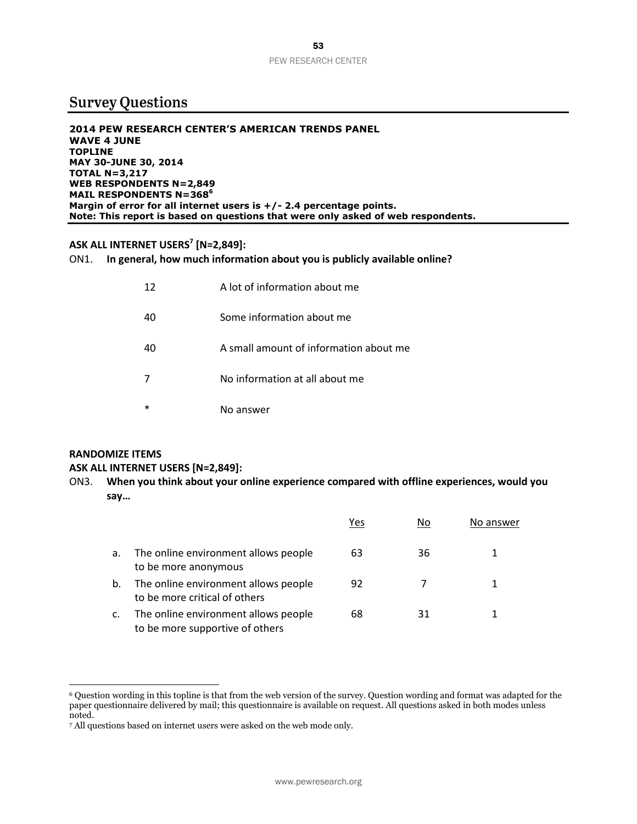# **Survey Questions**

**2014 PEW RESEARCH CENTER'S AMERICAN TRENDS PANEL WAVE 4 JUNE TOPLINE MAY 30-JUNE 30, 2014 TOTAL N=3,217 WEB RESPONDENTS N=2,849 MAIL RESPONDENTS N=368<sup>6</sup> Margin of error for all internet users is +/- 2.4 percentage points. Note: This report is based on questions that were only asked of web respondents.**

#### **ASK ALL INTERNET USERS<sup>7</sup> [N=2,849]:**

ON1. **In general, how much information about you is publicly available online?**

| 12 | A lot of information about me          |
|----|----------------------------------------|
| 40 | Some information about me              |
| 40 | A small amount of information about me |
|    | No information at all about me         |
| *  | No answer                              |

# **RANDOMIZE ITEMS**

 $\overline{a}$ 

#### **ASK ALL INTERNET USERS [N=2,849]:**

ON3. **When you think about your online experience compared with offline experiences, would you say…**

|    |                                                                         | Yes | Νo | No answer |
|----|-------------------------------------------------------------------------|-----|----|-----------|
| a. | The online environment allows people<br>to be more anonymous            | 63  | 36 |           |
| b. | The online environment allows people<br>to be more critical of others   | 92  |    | 1         |
| c. | The online environment allows people<br>to be more supportive of others | 68  | 31 |           |

<sup>6</sup> Question wording in this topline is that from the web version of the survey. Question wording and format was adapted for the paper questionnaire delivered by mail; this questionnaire is available on request. All questions asked in both modes unless noted.

<sup>7</sup> All questions based on internet users were asked on the web mode only.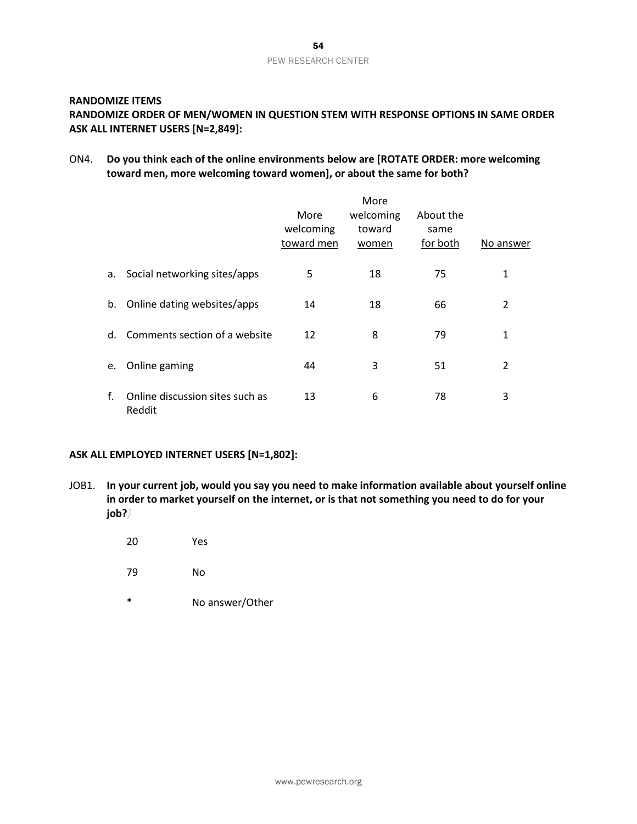# PEW RESEARCH CENTER

#### **RANDOMIZE ITEMS**

#### **RANDOMIZE ORDER OF MEN/WOMEN IN QUESTION STEM WITH RESPONSE OPTIONS IN SAME ORDER ASK ALL INTERNET USERS [N=2,849]:**

ON4. **Do you think each of the online environments below are [ROTATE ORDER: more welcoming toward men, more welcoming toward women], or about the same for both?**

|    |                                           | More<br>welcoming<br>toward men | More<br>welcoming<br>toward<br>women | About the<br>same<br>for both | No answer |
|----|-------------------------------------------|---------------------------------|--------------------------------------|-------------------------------|-----------|
| а. | Social networking sites/apps              | 5                               | 18                                   | 75                            | 1         |
|    | b. Online dating websites/apps            | 14                              | 18                                   | 66                            | 2         |
| d. | Comments section of a website             | 12                              | 8                                    | 79                            | 1         |
| e. | Online gaming                             | 44                              | 3                                    | 51                            | 2         |
| f. | Online discussion sites such as<br>Reddit | 13                              | 6                                    | 78                            | 3         |

#### **ASK ALL EMPLOYED INTERNET USERS [N=1,802]:**

- JOB1. **In your current job, would you say you need to make information available about yourself online in order to market yourself on the internet, or is that not something you need to do for your job?***}*
	- 20 Yes
	- 79 No
	- \* No answer/Other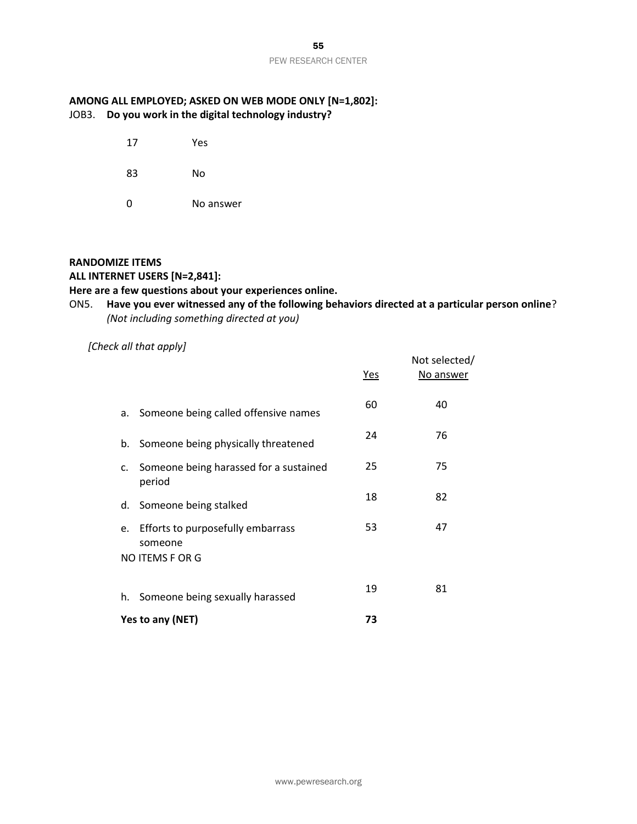#### **AMONG ALL EMPLOYED; ASKED ON WEB MODE ONLY [N=1,802]:** JOB3. **Do you work in the digital technology industry?**

- 17 Yes
- 83 No
- 0 No answer

#### **RANDOMIZE ITEMS**

#### **ALL INTERNET USERS [N=2,841]:**

#### **Here are a few questions about your experiences online.**

### ON5. **Have you ever witnessed any of the following behaviors directed at a particular person online**? *(Not including something directed at you)*

#### *[Check all that apply]*

|                                                     | <u>Yes</u> | Not selected/<br>No answer |
|-----------------------------------------------------|------------|----------------------------|
| a. Someone being called offensive names             | 60         | 40                         |
| b. Someone being physically threatened              | 24         | 76                         |
| c. Someone being harassed for a sustained<br>period | 25         | 75                         |
| d. Someone being stalked                            | 18         | 82                         |
| e. Efforts to purposefully embarrass<br>someone     | 53         | 47                         |
| NO ITEMS F OR G                                     |            |                            |
| h. Someone being sexually harassed                  | 19         | 81                         |
| Yes to any (NET)                                    | 73         |                            |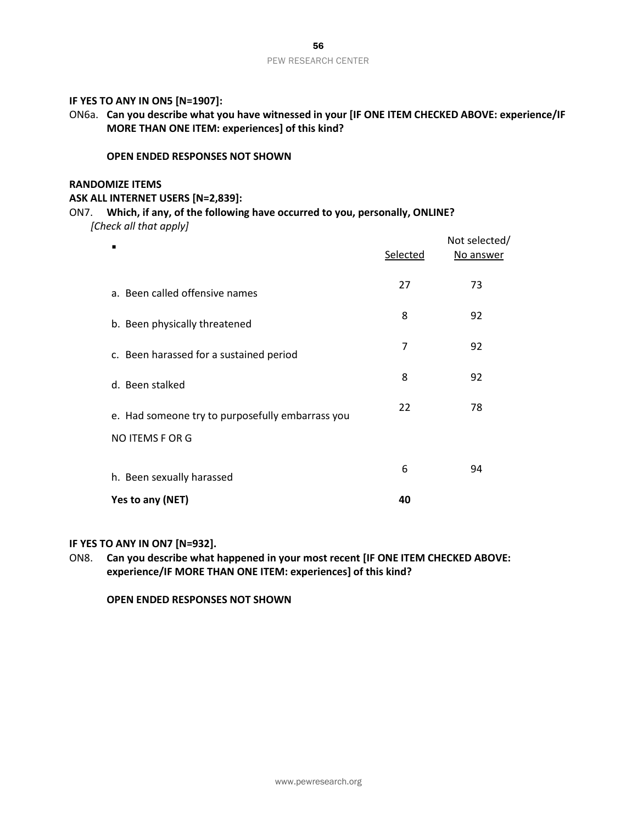#### **IF YES TO ANY IN ON5 [N=1907]:**

ON6a. **Can you describe what you have witnessed in your [IF ONE ITEM CHECKED ABOVE: experience/IF MORE THAN ONE ITEM: experiences] of this kind?** 

#### **OPEN ENDED RESPONSES NOT SHOWN**

#### **RANDOMIZE ITEMS**

#### **ASK ALL INTERNET USERS [N=2,839]:**

#### ON7. **Which, if any, of the following have occurred to you, personally, ONLINE?** *[Check all that apply]*

|                                                  | Selected | Not selected/<br>No answer |
|--------------------------------------------------|----------|----------------------------|
| a. Been called offensive names                   | 27       | 73                         |
| b. Been physically threatened                    | 8        | 92                         |
| c. Been harassed for a sustained period          | 7        | 92                         |
| d. Been stalked                                  | 8        | 92                         |
| e. Had someone try to purposefully embarrass you | 22       | 78                         |
| NO ITEMS F OR G                                  |          |                            |
| h. Been sexually harassed                        | 6        | 94                         |
| Yes to any (NET)                                 | 40       |                            |

#### **IF YES TO ANY IN ON7 [N=932].**

ON8. **Can you describe what happened in your most recent [IF ONE ITEM CHECKED ABOVE: experience/IF MORE THAN ONE ITEM: experiences] of this kind?** 

**OPEN ENDED RESPONSES NOT SHOWN**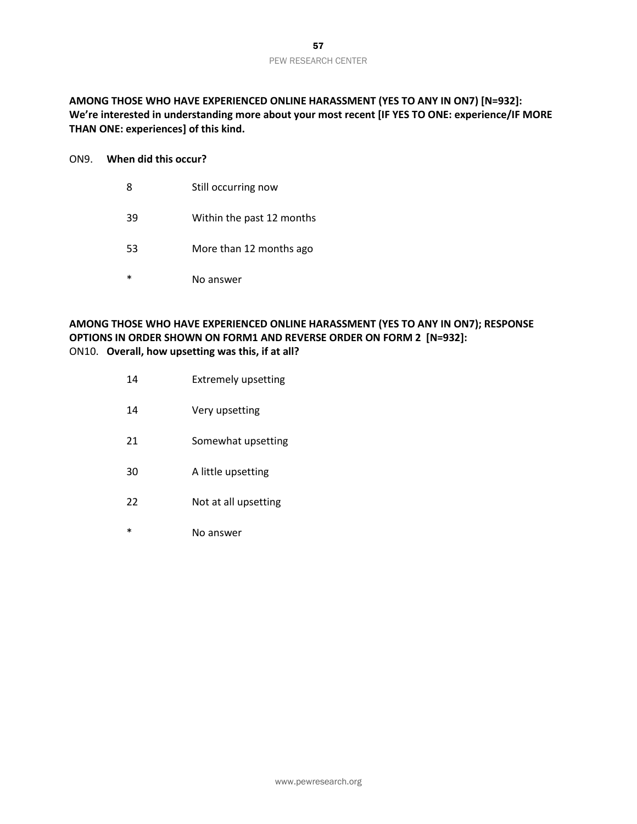**AMONG THOSE WHO HAVE EXPERIENCED ONLINE HARASSMENT (YES TO ANY IN ON7) [N=932]: We're interested in understanding more about your most recent [IF YES TO ONE: experience/IF MORE THAN ONE: experiences] of this kind.**

#### ON9. **When did this occur?**

- 8 Still occurring now
- 39 Within the past 12 months
- 53 More than 12 months ago
- \* No answer

#### **AMONG THOSE WHO HAVE EXPERIENCED ONLINE HARASSMENT (YES TO ANY IN ON7); RESPONSE OPTIONS IN ORDER SHOWN ON FORM1 AND REVERSE ORDER ON FORM 2 [N=932]:** ON10. **Overall, how upsetting was this, if at all?**

- 14 Extremely upsetting
- 14 Very upsetting
- 21 Somewhat upsetting
- 30 A little upsetting
- 22 Not at all upsetting
- \* No answer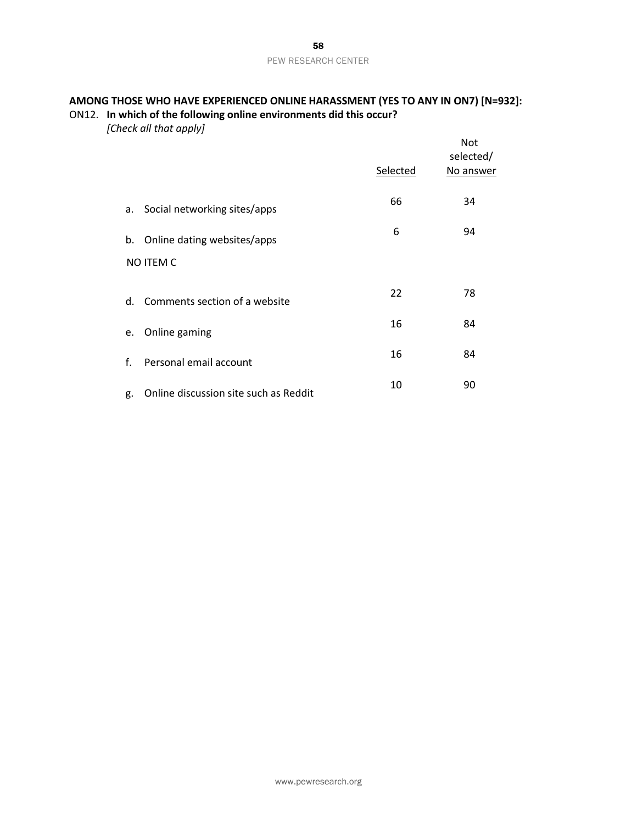#### **AMONG THOSE WHO HAVE EXPERIENCED ONLINE HARASSMENT (YES TO ANY IN ON7) [N=932]:** ON12. **In which of the following online environments did this occur?**

*[Check all that apply]*

|    |                                       | Selected | Not<br>selected/<br>No answer |
|----|---------------------------------------|----------|-------------------------------|
| а. | Social networking sites/apps          | 66       | 34                            |
|    | b. Online dating websites/apps        | 6        | 94                            |
|    | <b>NO ITEM C</b>                      |          |                               |
| d. | Comments section of a website         | 22       | 78                            |
| e. | Online gaming                         | 16       | 84                            |
| f. | Personal email account                | 16       | 84                            |
| g. | Online discussion site such as Reddit | 10       | 90                            |
|    |                                       |          |                               |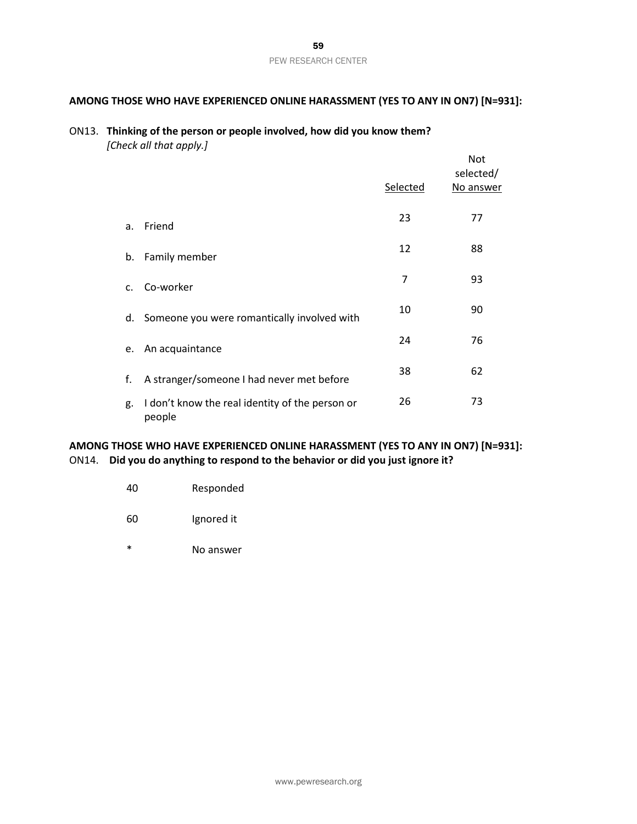### **AMONG THOSE WHO HAVE EXPERIENCED ONLINE HARASSMENT (YES TO ANY IN ON7) [N=931]:**

#### ON13. **Thinking of the person or people involved, how did you know them?** *[Check all that apply.]*

|                |                                                           |          | <b>Not</b><br>selected/ |
|----------------|-----------------------------------------------------------|----------|-------------------------|
|                |                                                           | Selected | No answer               |
| a.             | Friend                                                    | 23       | 77                      |
| b.             | Family member                                             | 12       | 88                      |
| $\mathsf{C}$ . | Co-worker                                                 | 7        | 93                      |
| d.             | Someone you were romantically involved with               | 10       | 90                      |
| e.             | An acquaintance                                           | 24       | 76                      |
| f.             | A stranger/someone I had never met before                 | 38       | 62                      |
| g.             | I don't know the real identity of the person or<br>people | 26       | 73                      |

#### **AMONG THOSE WHO HAVE EXPERIENCED ONLINE HARASSMENT (YES TO ANY IN ON7) [N=931]:** ON14. **Did you do anything to respond to the behavior or did you just ignore it?**

| 40 | Responded |
|----|-----------|
|    |           |

- 60 Ignored it
- \* No answer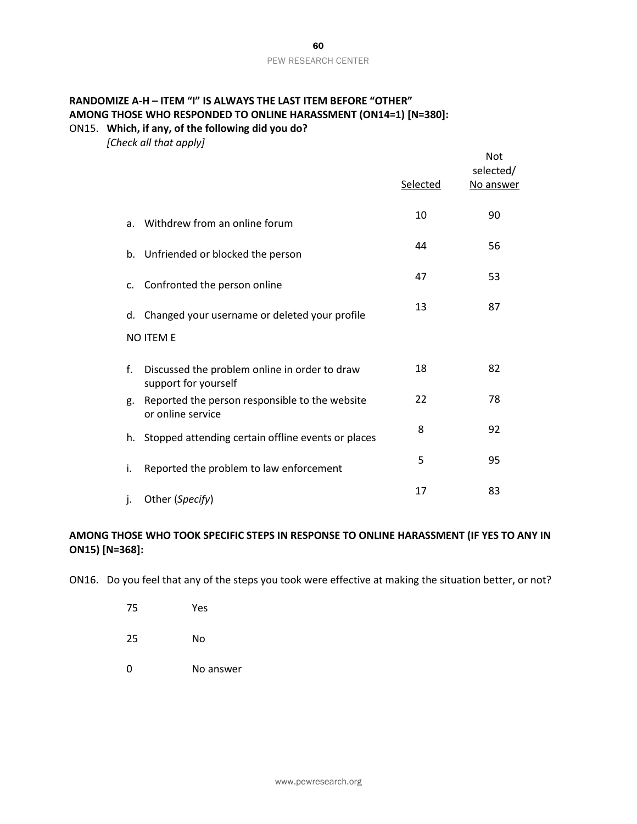#### **RANDOMIZE A-H – ITEM "I" IS ALWAYS THE LAST ITEM BEFORE "OTHER" AMONG THOSE WHO RESPONDED TO ONLINE HARASSMENT (ON14=1) [N=380]:** ON15. **Which, if any, of the following did you do?**

*[Check all that apply]*

|             |                                                                       | Selected | Not<br>selected/<br>No answer |
|-------------|-----------------------------------------------------------------------|----------|-------------------------------|
| a.          | Withdrew from an online forum                                         | 10       | 90                            |
|             | b. Unfriended or blocked the person                                   | 44       | 56                            |
| $C_{\cdot}$ | Confronted the person online                                          | 47       | 53                            |
|             | d. Changed your username or deleted your profile                      | 13       | 87                            |
|             | <b>NO ITEM E</b>                                                      |          |                               |
| f.          | Discussed the problem online in order to draw<br>support for yourself | 18       | 82                            |
| g.          | Reported the person responsible to the website<br>or online service   | 22       | 78                            |
|             | h. Stopped attending certain offline events or places                 | 8        | 92                            |
| i.          | Reported the problem to law enforcement                               | 5        | 95                            |
| j.          | Other (Specify)                                                       | 17       | 83                            |

#### **AMONG THOSE WHO TOOK SPECIFIC STEPS IN RESPONSE TO ONLINE HARASSMENT (IF YES TO ANY IN ON15) [N=368]:**

ON16. Do you feel that any of the steps you took were effective at making the situation better, or not?

- 75 Yes
- 25 No
- 0 No answer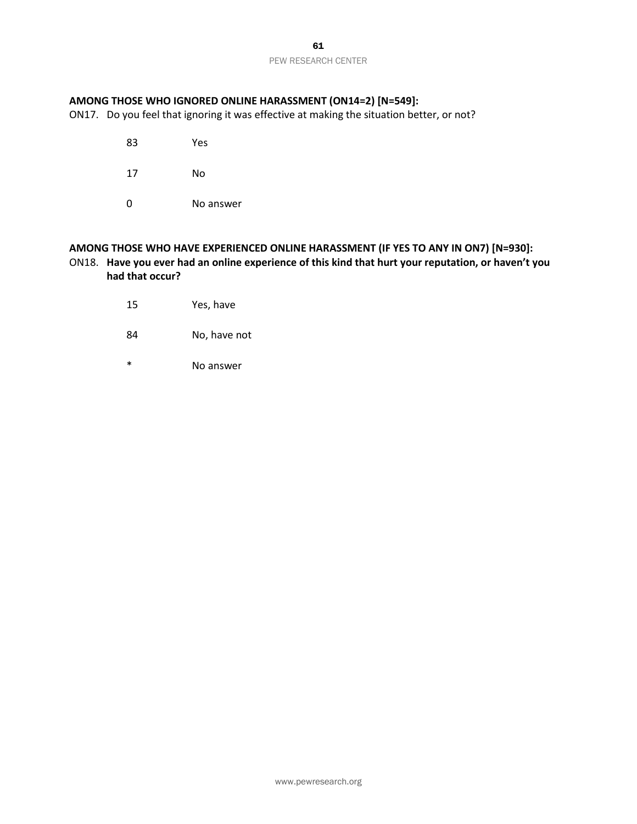61 PEW RESEARCH CENTER

#### **AMONG THOSE WHO IGNORED ONLINE HARASSMENT (ON14=2) [N=549]:**

ON17. Do you feel that ignoring it was effective at making the situation better, or not?

- 83 Yes
- 17 No
- 0 No answer

#### **AMONG THOSE WHO HAVE EXPERIENCED ONLINE HARASSMENT (IF YES TO ANY IN ON7) [N=930]:** ON18. **Have you ever had an online experience of this kind that hurt your reputation, or haven't you had that occur?**

- 15 Yes, have
- 84 No, have not
- \* No answer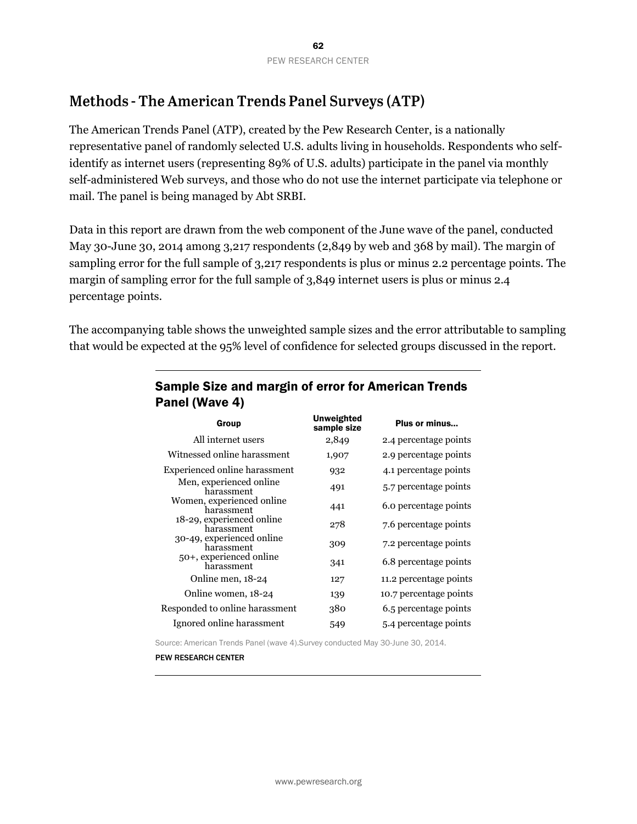# **Methods - The American Trends Panel Surveys (ATP)**

The American Trends Panel (ATP), created by the Pew Research Center, is a nationally representative panel of randomly selected U.S. adults living in households. Respondents who selfidentify as internet users (representing 89% of U.S. adults) participate in the panel via monthly self-administered Web surveys, and those who do not use the internet participate via telephone or mail. The panel is being managed by Abt SRBI.

Data in this report are drawn from the web component of the June wave of the panel, conducted May 30-June 30, 2014 among 3,217 respondents (2,849 by web and 368 by mail). The margin of sampling error for the full sample of 3,217 respondents is plus or minus 2.2 percentage points. The margin of sampling error for the full sample of 3,849 internet users is plus or minus 2.4 percentage points.

The accompanying table shows the unweighted sample sizes and the error attributable to sampling that would be expected at the 95% level of confidence for selected groups discussed in the report.

| Group                                   | <b>Unweighted</b><br>sample size | Plus or minus          |
|-----------------------------------------|----------------------------------|------------------------|
| All internet users                      | 2,849                            | 2.4 percentage points  |
| Witnessed online harassment             | 1,907                            | 2.9 percentage points  |
| Experienced online harassment           | 932                              | 4.1 percentage points  |
| Men, experienced online<br>harassment   | 491                              | 5.7 percentage points  |
| Women, experienced online<br>harassment | 441                              | 6.0 percentage points  |
| 18-29, experienced online<br>harassment | 278                              | 7.6 percentage points  |
| 30-49, experienced online<br>harassment | 309                              | 7.2 percentage points  |
| 50+, experienced online<br>harassment   | 341                              | 6.8 percentage points  |
| Online men, 18-24                       | 127                              | 11.2 percentage points |
| Online women, 18-24                     | 139                              | 10.7 percentage points |
| Responded to online harassment          | 380                              | 6.5 percentage points  |
| Ignored online harassment               | 549                              | 5.4 percentage points  |

## Sample Size and margin of error for American Trends Panel (Wave 4)

Source: American Trends Panel (wave 4).Survey conducted May 30-June 30, 2014.

PEW RESEARCH CENTER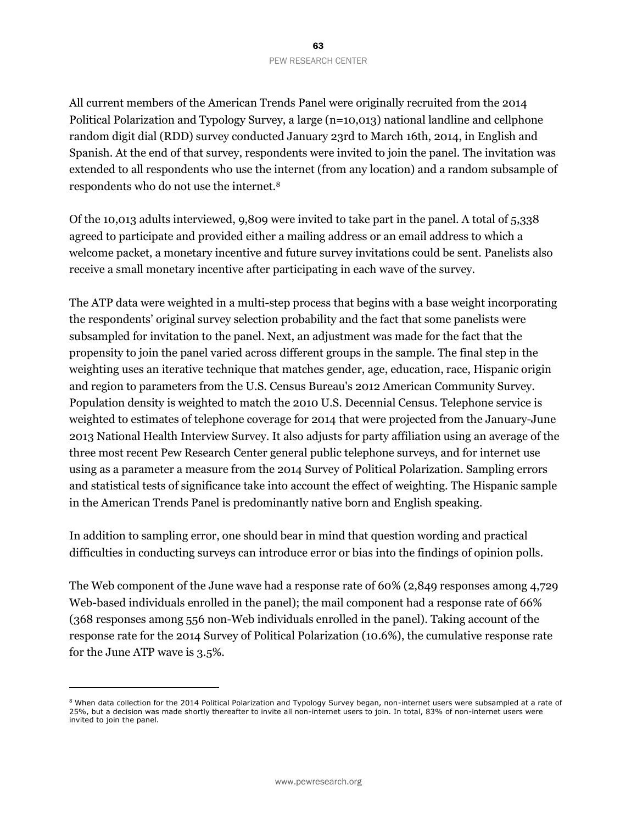All current members of the American Trends Panel were originally recruited from the 2014 Political Polarization and Typology Survey, a large (n=10,013) national landline and cellphone random digit dial (RDD) survey conducted January 23rd to March 16th, 2014, in English and Spanish. At the end of that survey, respondents were invited to join the panel. The invitation was extended to all respondents who use the internet (from any location) and a random subsample of respondents who do not use the internet.<sup>8</sup>

Of the 10,013 adults interviewed, 9,809 were invited to take part in the panel. A total of 5,338 agreed to participate and provided either a mailing address or an email address to which a welcome packet, a monetary incentive and future survey invitations could be sent. Panelists also receive a small monetary incentive after participating in each wave of the survey.

The ATP data were weighted in a multi-step process that begins with a base weight incorporating the respondents' original survey selection probability and the fact that some panelists were subsampled for invitation to the panel. Next, an adjustment was made for the fact that the propensity to join the panel varied across different groups in the sample. The final step in the weighting uses an iterative technique that matches gender, age, education, race, Hispanic origin and region to parameters from the U.S. Census Bureau's 2012 American Community Survey. Population density is weighted to match the 2010 U.S. Decennial Census. Telephone service is weighted to estimates of telephone coverage for 2014 that were projected from the January-June 2013 National Health Interview Survey. It also adjusts for party affiliation using an average of the three most recent Pew Research Center general public telephone surveys, and for internet use using as a parameter a measure from the 2014 Survey of Political Polarization. Sampling errors and statistical tests of significance take into account the effect of weighting. The Hispanic sample in the American Trends Panel is predominantly native born and English speaking.

In addition to sampling error, one should bear in mind that question wording and practical difficulties in conducting surveys can introduce error or bias into the findings of opinion polls.

The Web component of the June wave had a response rate of 60% (2,849 responses among 4,729 Web-based individuals enrolled in the panel); the mail component had a response rate of 66% (368 responses among 556 non-Web individuals enrolled in the panel). Taking account of the response rate for the 2014 Survey of Political Polarization (10.6%), the cumulative response rate for the June ATP wave is 3.5%.

 $\overline{a}$ 

<sup>&</sup>lt;sup>8</sup> When data collection for the 2014 Political Polarization and Typology Survey began, non-internet users were subsampled at a rate of 25%, but a decision was made shortly thereafter to invite all non-internet users to join. In total, 83% of non-internet users were invited to join the panel.